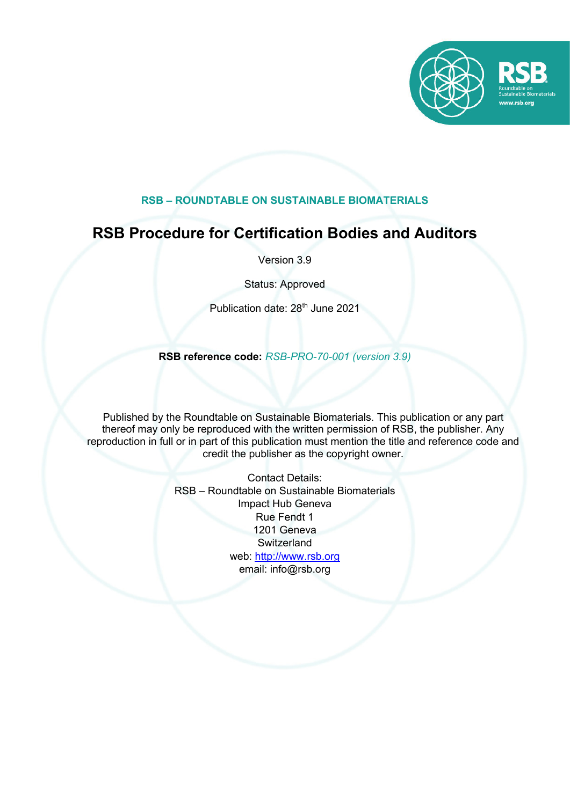

### **RSB – ROUNDTABLE ON SUSTAINABLE BIOMATERIALS**

## **RSB Procedure for Certification Bodies and Auditors**

Version 3.9

Status: Approved

Publication date: 28<sup>th</sup> June 2021

**RSB reference code:** *RSB-PRO-70-001 (version 3.9)*

Published by the Roundtable on Sustainable Biomaterials. This publication or any part thereof may only be reproduced with the written permission of RSB, the publisher. Any reproduction in full or in part of this publication must mention the title and reference code and credit the publisher as the copyright owner.

> Contact Details: RSB – Roundtable on Sustainable Biomaterials Impact Hub Geneva Rue Fendt 1 1201 Geneva **Switzerland** web: http://www.rsb.org email: info@rsb.org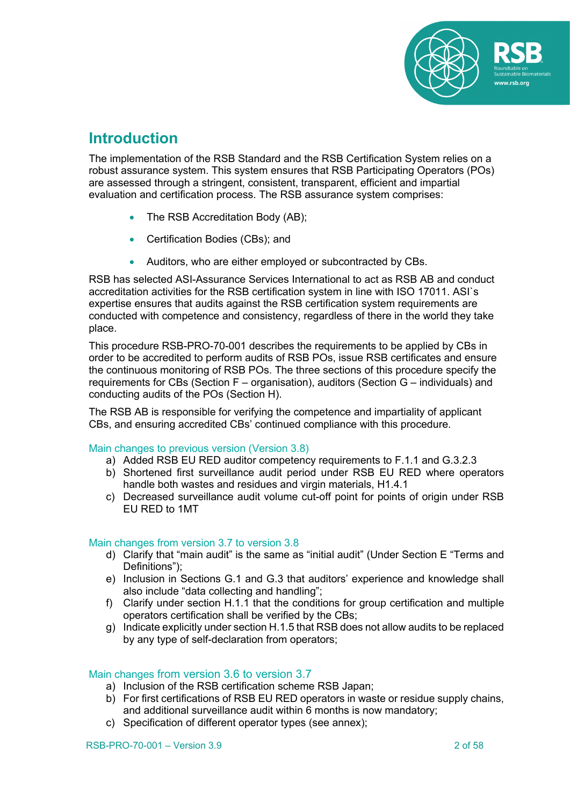

## **Introduction**

The implementation of the RSB Standard and the RSB Certification System relies on a robust assurance system. This system ensures that RSB Participating Operators (POs) are assessed through a stringent, consistent, transparent, efficient and impartial evaluation and certification process. The RSB assurance system comprises:

- The RSB Accreditation Body (AB);
- Certification Bodies (CBs); and
- Auditors, who are either employed or subcontracted by CBs.

RSB has selected ASI-Assurance Services International to act as RSB AB and conduct accreditation activities for the RSB certification system in line with ISO 17011. ASI`s expertise ensures that audits against the RSB certification system requirements are conducted with competence and consistency, regardless of there in the world they take place.

This procedure RSB-PRO-70-001 describes the requirements to be applied by CBs in order to be accredited to perform audits of RSB POs, issue RSB certificates and ensure the continuous monitoring of RSB POs. The three sections of this procedure specify the requirements for CBs (Section F – organisation), auditors (Section G – individuals) and conducting audits of the POs (Section H).

The RSB AB is responsible for verifying the competence and impartiality of applicant CBs, and ensuring accredited CBs' continued compliance with this procedure.

#### Main changes to previous version (Version 3.8)

- a) Added RSB EU RED auditor competency requirements to F.1.1 and G.3.2.3
- b) Shortened first surveillance audit period under RSB EU RED where operators handle both wastes and residues and virgin materials, H1.4.1
- c) Decreased surveillance audit volume cut-off point for points of origin under RSB EU RED to 1MT

#### Main changes from version 3.7 to version 3.8

- d) Clarify that "main audit" is the same as "initial audit" (Under Section E "Terms and Definitions");
- e) Inclusion in Sections G.1 and G.3 that auditors' experience and knowledge shall also include "data collecting and handling";
- f) Clarify under section H.1.1 that the conditions for group certification and multiple operators certification shall be verified by the CBs;
- g) Indicate explicitly under section H.1.5 that RSB does not allow audits to be replaced by any type of self-declaration from operators;

#### Main changes from version 3.6 to version 3.7

- a) Inclusion of the RSB certification scheme RSB Japan;
- b) For first certifications of RSB EU RED operators in waste or residue supply chains, and additional surveillance audit within 6 months is now mandatory;
- c) Specification of different operator types (see annex);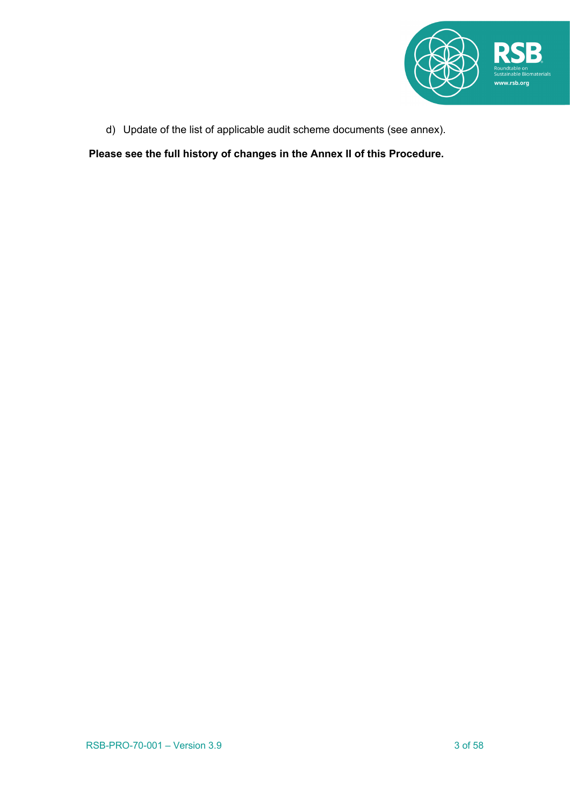

d) Update of the list of applicable audit scheme documents (see annex).

**Please see the full history of changes in the Annex II of this Procedure.**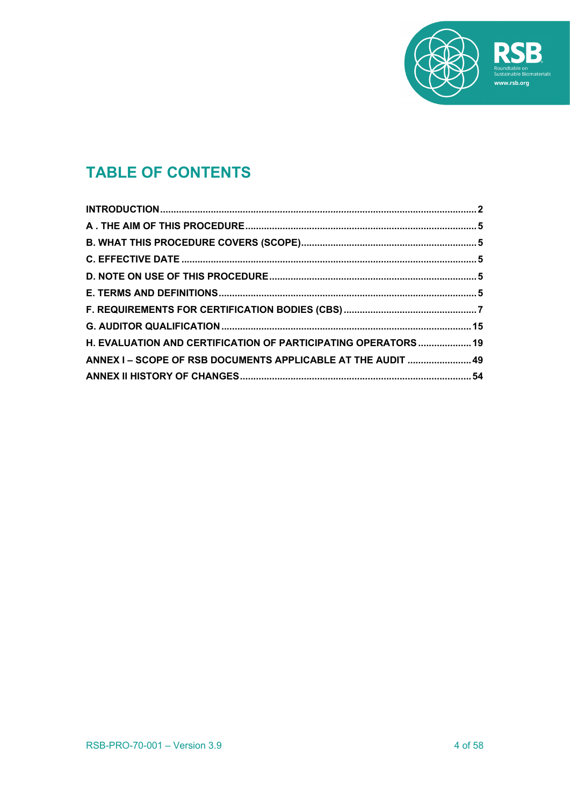

# **TABLE OF CONTENTS**

| H. EVALUATION AND CERTIFICATION OF PARTICIPATING OPERATORS  19 |  |
|----------------------------------------------------------------|--|
| ANNEX I - SCOPE OF RSB DOCUMENTS APPLICABLE AT THE AUDIT  49   |  |
|                                                                |  |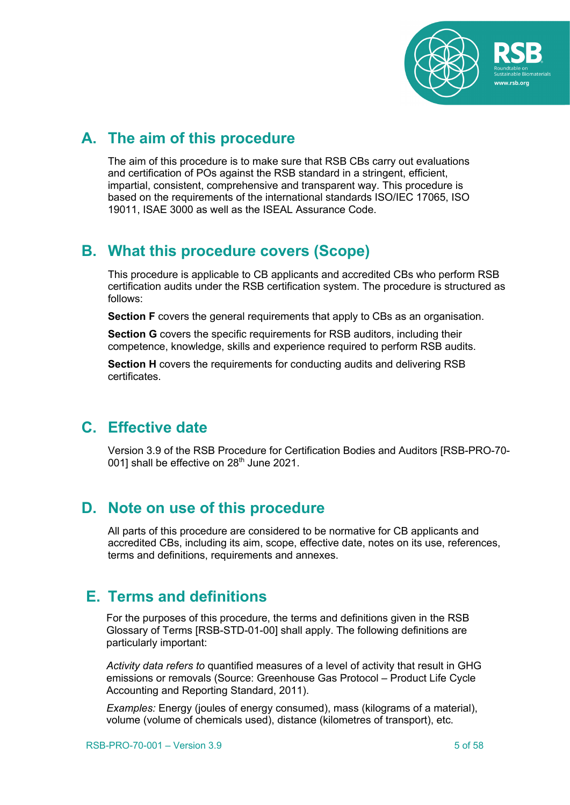

## **A. The aim of this procedure**

The aim of this procedure is to make sure that RSB CBs carry out evaluations and certification of POs against the RSB standard in a stringent, efficient, impartial, consistent, comprehensive and transparent way. This procedure is based on the requirements of the international standards ISO/IEC 17065, ISO 19011, ISAE 3000 as well as the ISEAL Assurance Code.

## **B. What this procedure covers (Scope)**

This procedure is applicable to CB applicants and accredited CBs who perform RSB certification audits under the RSB certification system. The procedure is structured as follows:

**Section F** covers the general requirements that apply to CBs as an organisation.

**Section G** covers the specific requirements for RSB auditors, including their competence, knowledge, skills and experience required to perform RSB audits.

**Section H** covers the requirements for conducting audits and delivering RSB certificates.

## **C. Effective date**

Version 3.9 of the RSB Procedure for Certification Bodies and Auditors [RSB-PRO-70- 001] shall be effective on 28<sup>th</sup> June 2021.

## **D. Note on use of this procedure**

All parts of this procedure are considered to be normative for CB applicants and accredited CBs, including its aim, scope, effective date, notes on its use, references, terms and definitions, requirements and annexes.

## **E. Terms and definitions**

For the purposes of this procedure, the terms and definitions given in the RSB Glossary of Terms [RSB-STD-01-00] shall apply. The following definitions are particularly important:

*Activity data refers to* quantified measures of a level of activity that result in GHG emissions or removals (Source: Greenhouse Gas Protocol – Product Life Cycle Accounting and Reporting Standard, 2011).

*Examples:* Energy (joules of energy consumed), mass (kilograms of a material), volume (volume of chemicals used), distance (kilometres of transport), etc.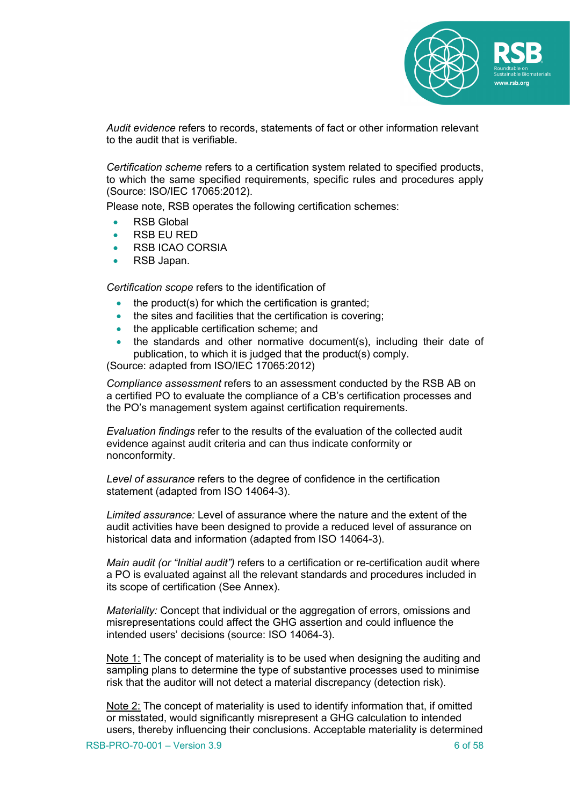

*Audit evidence* refers to records, statements of fact or other information relevant to the audit that is verifiable.

*Certification scheme* refers to a certification system related to specified products, to which the same specified requirements, specific rules and procedures apply (Source: ISO/IEC 17065:2012).

Please note, RSB operates the following certification schemes:

- RSB Global
- RSB EU RED
- RSB ICAO CORSIA
- RSB Japan.

*Certification scope* refers to the identification of

- the product(s) for which the certification is granted;
- the sites and facilities that the certification is covering;
- the applicable certification scheme; and
- the standards and other normative document(s), including their date of publication, to which it is judged that the product(s) comply.

(Source: adapted from ISO/IEC 17065:2012)

*Compliance assessment* refers to an assessment conducted by the RSB AB on a certified PO to evaluate the compliance of a CB's certification processes and the PO's management system against certification requirements.

*Evaluation findings* refer to the results of the evaluation of the collected audit evidence against audit criteria and can thus indicate conformity or nonconformity.

*Level of assurance* refers to the degree of confidence in the certification statement (adapted from ISO 14064-3).

*Limited assurance:* Level of assurance where the nature and the extent of the audit activities have been designed to provide a reduced level of assurance on historical data and information (adapted from ISO 14064-3).

*Main audit (or "Initial audit")* refers to a certification or re-certification audit where a PO is evaluated against all the relevant standards and procedures included in its scope of certification (See Annex).

*Materiality:* Concept that individual or the aggregation of errors, omissions and misrepresentations could affect the GHG assertion and could influence the intended users' decisions (source: ISO 14064-3).

Note 1: The concept of materiality is to be used when designing the auditing and sampling plans to determine the type of substantive processes used to minimise risk that the auditor will not detect a material discrepancy (detection risk).

Note 2: The concept of materiality is used to identify information that, if omitted or misstated, would significantly misrepresent a GHG calculation to intended users, thereby influencing their conclusions. Acceptable materiality is determined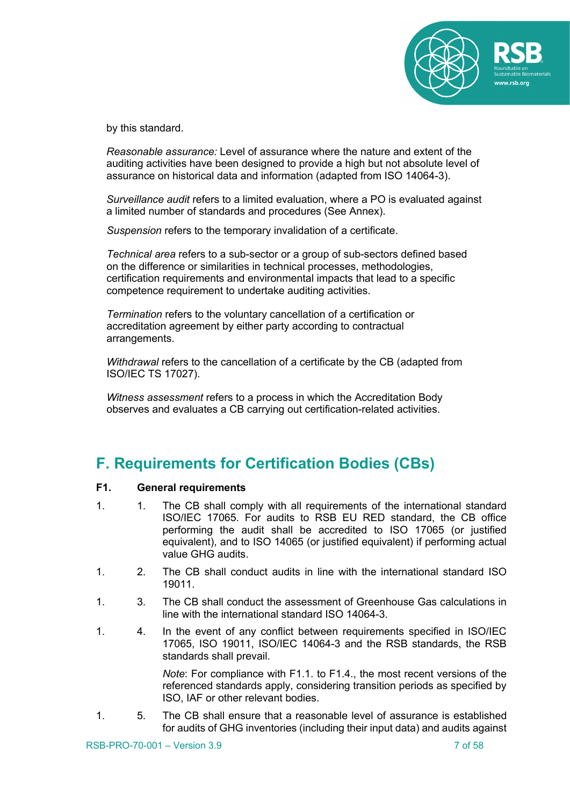

by this standard.

*Reasonable assurance:* Level of assurance where the nature and extent of the auditing activities have been designed to provide a high but not absolute level of assurance on historical data and information (adapted from ISO 14064-3).

*Surveillance audit* refers to a limited evaluation, where a PO is evaluated against a limited number of standards and procedures (See Annex).

*Suspension* refers to the temporary invalidation of a certificate.

*Technical area* refers to a sub-sector or a group of sub-sectors defined based on the difference or similarities in technical processes, methodologies, certification requirements and environmental impacts that lead to a specific competence requirement to undertake auditing activities.

*Termination* refers to the voluntary cancellation of a certification or accreditation agreement by either party according to contractual arrangements.

*Withdrawal* refers to the cancellation of a certificate by the CB (adapted from ISO/IEC TS 17027).

*Witness assessment* refers to a process in which the Accreditation Body observes and evaluates a CB carrying out certification-related activities.

## **F. Requirements for Certification Bodies (CBs)**

#### **F1. General requirements**

- 1. 1. The CB shall comply with all requirements of the international standard ISO/IEC 17065. For audits to RSB EU RED standard, the CB office performing the audit shall be accredited to ISO 17065 (or justified equivalent), and to ISO 14065 (or justified equivalent) if performing actual value GHG audits.
- 1. 2. The CB shall conduct audits in line with the international standard ISO 19011.
- 1. 3. The CB shall conduct the assessment of Greenhouse Gas calculations in line with the international standard ISO 14064-3.
- 1. 4. In the event of any conflict between requirements specified in ISO/IEC 17065, ISO 19011, ISO/IEC 14064-3 and the RSB standards, the RSB standards shall prevail.

*Note*: For compliance with F1.1. to F1.4., the most recent versions of the referenced standards apply, considering transition periods as specified by ISO, IAF or other relevant bodies.

1. 5. The CB shall ensure that a reasonable level of assurance is established for audits of GHG inventories (including their input data) and audits against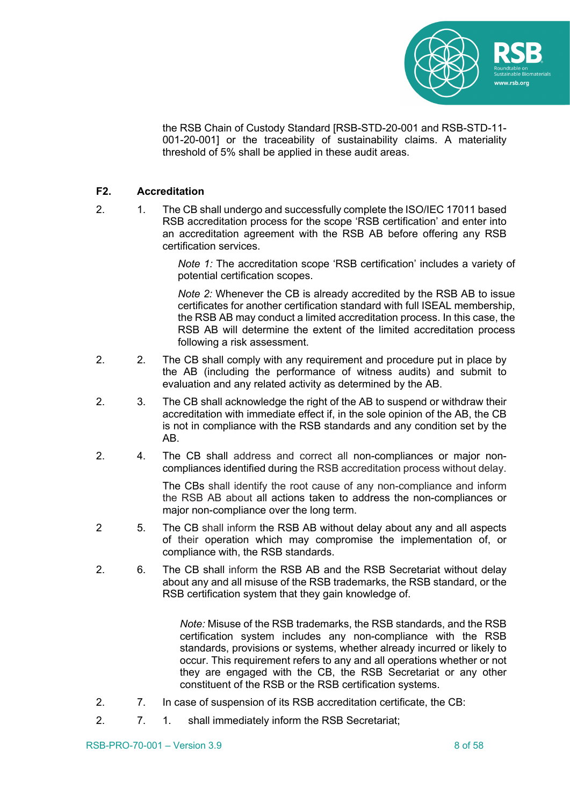

the RSB Chain of Custody Standard [RSB-STD-20-001 and RSB-STD-11- 001-20-001] or the traceability of sustainability claims. A materiality threshold of 5% shall be applied in these audit areas.

#### **F2. Accreditation**

2. 1. The CB shall undergo and successfully complete the ISO/IEC 17011 based RSB accreditation process for the scope 'RSB certification' and enter into an accreditation agreement with the RSB AB before offering any RSB certification services.

> *Note 1:* The accreditation scope 'RSB certification' includes a variety of potential certification scopes.

> *Note 2:* Whenever the CB is already accredited by the RSB AB to issue certificates for another certification standard with full ISEAL membership, the RSB AB may conduct a limited accreditation process. In this case, the RSB AB will determine the extent of the limited accreditation process following a risk assessment.

- 2. 2. The CB shall comply with any requirement and procedure put in place by the AB (including the performance of witness audits) and submit to evaluation and any related activity as determined by the AB.
- 2. 3. The CB shall acknowledge the right of the AB to suspend or withdraw their accreditation with immediate effect if, in the sole opinion of the AB, the CB is not in compliance with the RSB standards and any condition set by the AB.
- 2. 4. The CB shall address and correct all non-compliances or major noncompliances identified during the RSB accreditation process without delay.

The CBs shall identify the root cause of any non-compliance and inform the RSB AB about all actions taken to address the non-compliances or major non-compliance over the long term.

- 2 5. The CB shall inform the RSB AB without delay about any and all aspects of their operation which may compromise the implementation of, or compliance with, the RSB standards.
- 2. 6. The CB shall inform the RSB AB and the RSB Secretariat without delay about any and all misuse of the RSB trademarks, the RSB standard, or the RSB certification system that they gain knowledge of.

*Note:* Misuse of the RSB trademarks, the RSB standards, and the RSB certification system includes any non-compliance with the RSB standards, provisions or systems, whether already incurred or likely to occur. This requirement refers to any and all operations whether or not they are engaged with the CB, the RSB Secretariat or any other constituent of the RSB or the RSB certification systems.

- 2. 7. In case of suspension of its RSB accreditation certificate, the CB:
- 2. 7. 1. shall immediately inform the RSB Secretariat;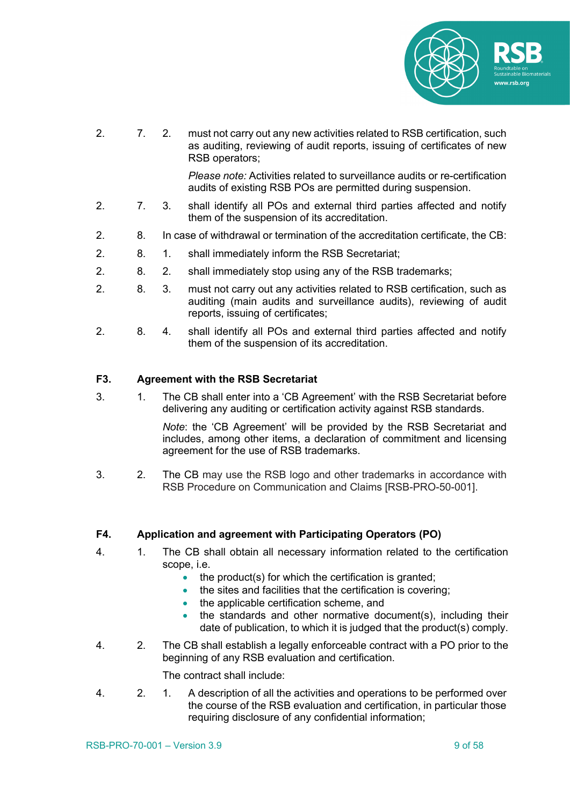

2. 7. 2. must not carry out any new activities related to RSB certification, such as auditing, reviewing of audit reports, issuing of certificates of new RSB operators;

> *Please note:* Activities related to surveillance audits or re-certification audits of existing RSB POs are permitted during suspension.

- 2. 7. 3. shall identify all POs and external third parties affected and notify them of the suspension of its accreditation.
- 2. 8. In case of withdrawal or termination of the accreditation certificate, the CB:
- 2. 8. 1. shall immediately inform the RSB Secretariat;
- 2. 8. 2. shall immediately stop using any of the RSB trademarks;
- 2. 8. 3. must not carry out any activities related to RSB certification, such as auditing (main audits and surveillance audits), reviewing of audit reports, issuing of certificates;
- 2. 8. 4. shall identify all POs and external third parties affected and notify them of the suspension of its accreditation.

#### **F3. Agreement with the RSB Secretariat**

3. 1. The CB shall enter into a 'CB Agreement' with the RSB Secretariat before delivering any auditing or certification activity against RSB standards.

> *Note*: the 'CB Agreement' will be provided by the RSB Secretariat and includes, among other items, a declaration of commitment and licensing agreement for the use of RSB trademarks.

3. 2. The CB may use the RSB logo and other trademarks in accordance with RSB Procedure on Communication and Claims [RSB-PRO-50-001].

#### **F4. Application and agreement with Participating Operators (PO)**

- 4. 1. The CB shall obtain all necessary information related to the certification scope, i.e.
	- the product(s) for which the certification is granted;
	- the sites and facilities that the certification is covering;
	- the applicable certification scheme, and
	- the standards and other normative document(s), including their date of publication, to which it is judged that the product(s) comply.
- 4. 2. The CB shall establish a legally enforceable contract with a PO prior to the beginning of any RSB evaluation and certification.

The contract shall include:

4. 2. 1. A description of all the activities and operations to be performed over the course of the RSB evaluation and certification, in particular those requiring disclosure of any confidential information;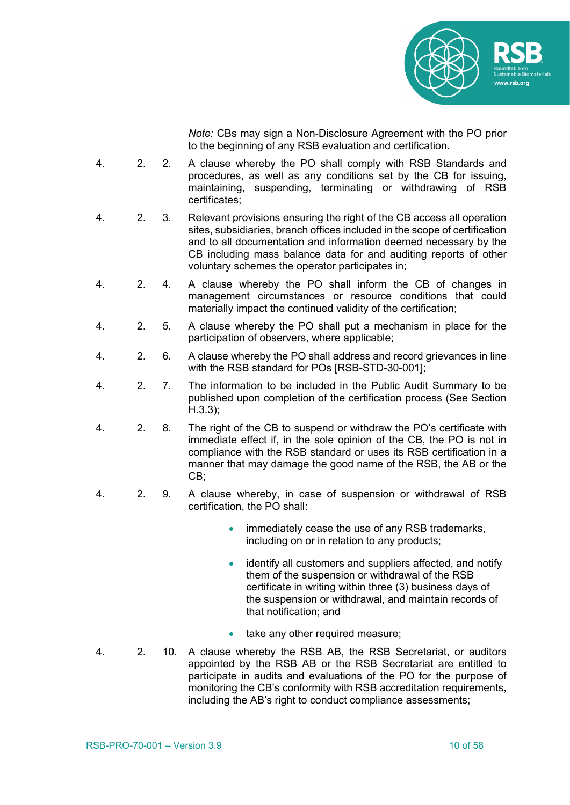

*Note:* CBs may sign a Non-Disclosure Agreement with the PO prior to the beginning of any RSB evaluation and certification*.*

- 4. 2. 2. A clause whereby the PO shall comply with RSB Standards and procedures, as well as any conditions set by the CB for issuing, maintaining, suspending, terminating or withdrawing of RSB certificates;
- 4. 2. 3. Relevant provisions ensuring the right of the CB access all operation sites, subsidiaries, branch offices included in the scope of certification and to all documentation and information deemed necessary by the CB including mass balance data for and auditing reports of other voluntary schemes the operator participates in;
- 4. 2. 4. A clause whereby the PO shall inform the CB of changes in management circumstances or resource conditions that could materially impact the continued validity of the certification;
- 4. 2. 5. A clause whereby the PO shall put a mechanism in place for the participation of observers, where applicable;
- 4. 2. 6. A clause whereby the PO shall address and record grievances in line with the RSB standard for POs [RSB-STD-30-001];
- 4. 2. 7. The information to be included in the Public Audit Summary to be published upon completion of the certification process (See Section H.3.3);
- 4. 2. 8. The right of the CB to suspend or withdraw the PO's certificate with immediate effect if, in the sole opinion of the CB, the PO is not in compliance with the RSB standard or uses its RSB certification in a manner that may damage the good name of the RSB, the AB or the CB;
- 4. 2. 9. A clause whereby, in case of suspension or withdrawal of RSB certification, the PO shall:
	- immediately cease the use of any RSB trademarks, including on or in relation to any products;
	- identify all customers and suppliers affected, and notify them of the suspension or withdrawal of the RSB certificate in writing within three (3) business days of the suspension or withdrawal, and maintain records of that notification; and
	- take any other required measure;
- 4. 2. 10. A clause whereby the RSB AB, the RSB Secretariat, or auditors appointed by the RSB AB or the RSB Secretariat are entitled to participate in audits and evaluations of the PO for the purpose of monitoring the CB's conformity with RSB accreditation requirements, including the AB's right to conduct compliance assessments;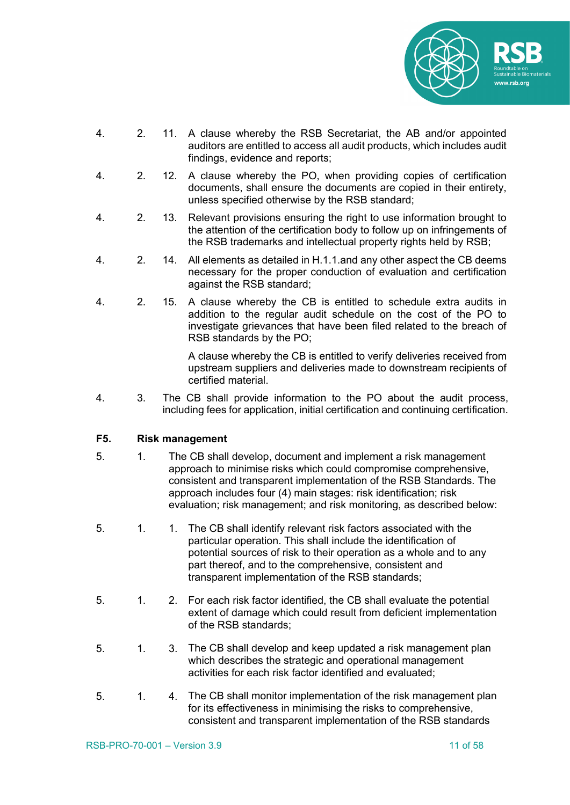

- 4. 2. 11. A clause whereby the RSB Secretariat, the AB and/or appointed auditors are entitled to access all audit products, which includes audit findings, evidence and reports;
- 4. 2. 12. A clause whereby the PO, when providing copies of certification documents, shall ensure the documents are copied in their entirety, unless specified otherwise by the RSB standard;
- 4. 2. 13. Relevant provisions ensuring the right to use information brought to the attention of the certification body to follow up on infringements of the RSB trademarks and intellectual property rights held by RSB;
- 4. 2. 14. All elements as detailed in H.1.1.and any other aspect the CB deems necessary for the proper conduction of evaluation and certification against the RSB standard;
- 4. 2. 15. A clause whereby the CB is entitled to schedule extra audits in addition to the regular audit schedule on the cost of the PO to investigate grievances that have been filed related to the breach of RSB standards by the PO;

A clause whereby the CB is entitled to verify deliveries received from upstream suppliers and deliveries made to downstream recipients of certified material.

4. 3. The CB shall provide information to the PO about the audit process, including fees for application, initial certification and continuing certification.

#### **F5. Risk management**

- 5. 1. The CB shall develop, document and implement a risk management approach to minimise risks which could compromise comprehensive, consistent and transparent implementation of the RSB Standards*.* The approach includes four (4) main stages: risk identification; risk evaluation; risk management; and risk monitoring, as described below:
- 5. 1. 1. The CB shall identify relevant risk factors associated with the particular operation. This shall include the identification of potential sources of risk to their operation as a whole and to any part thereof, and to the comprehensive, consistent and transparent implementation of the RSB standards;
- 5. 1. 2. For each risk factor identified, the CB shall evaluate the potential extent of damage which could result from deficient implementation of the RSB standards;
- 5. 1. 3. The CB shall develop and keep updated a risk management plan which describes the strategic and operational management activities for each risk factor identified and evaluated;
- 5. 1. 4. The CB shall monitor implementation of the risk management plan for its effectiveness in minimising the risks to comprehensive, consistent and transparent implementation of the RSB standards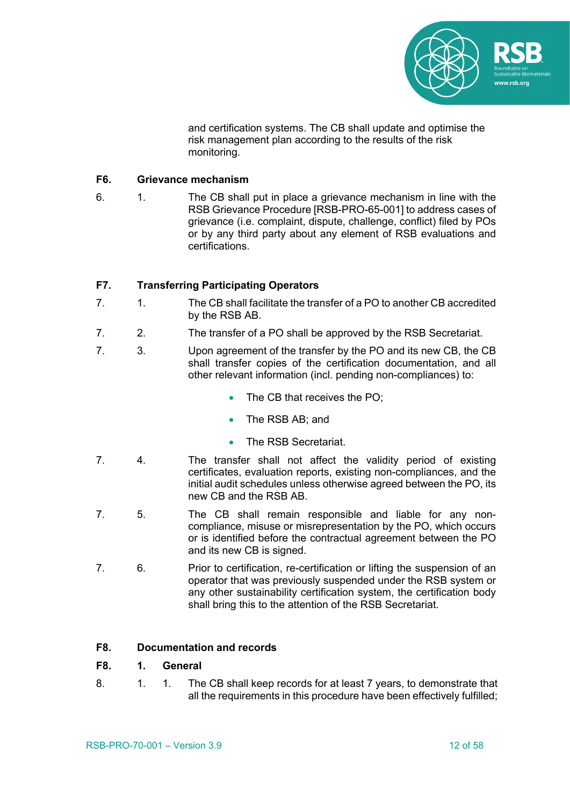

and certification systems. The CB shall update and optimise the risk management plan according to the results of the risk monitoring.

#### **F6. Grievance mechanism**

6. 1. The CB shall put in place a grievance mechanism in line with the RSB Grievance Procedure [RSB-PRO-65-001] to address cases of grievance (i.e. complaint, dispute, challenge, conflict) filed by POs or by any third party about any element of RSB evaluations and certifications.

#### **F7. Transferring Participating Operators**

- 7. 1. The CB shall facilitate the transfer of a PO to another CB accredited by the RSB AB.
- 7. 2. The transfer of a PO shall be approved by the RSB Secretariat.
- 7. 3. Upon agreement of the transfer by the PO and its new CB, the CB shall transfer copies of the certification documentation, and all other relevant information (incl. pending non-compliances) to:
	- The CB that receives the PO:
	- The RSB AB; and
	- The RSB Secretariat.
- 7. 4. The transfer shall not affect the validity period of existing certificates, evaluation reports, existing non-compliances, and the initial audit schedules unless otherwise agreed between the PO, its new CB and the RSB AB.
- 7. 5. The CB shall remain responsible and liable for any noncompliance, misuse or misrepresentation by the PO, which occurs or is identified before the contractual agreement between the PO and its new CB is signed.
- 7. 6. Prior to certification, re-certification or lifting the suspension of an operator that was previously suspended under the RSB system or any other sustainability certification system, the certification body shall bring this to the attention of the RSB Secretariat.

#### **F8. Documentation and records**

#### **F8. 1. General**

8. 1. 1. The CB shall keep records for at least 7 years, to demonstrate that all the requirements in this procedure have been effectively fulfilled;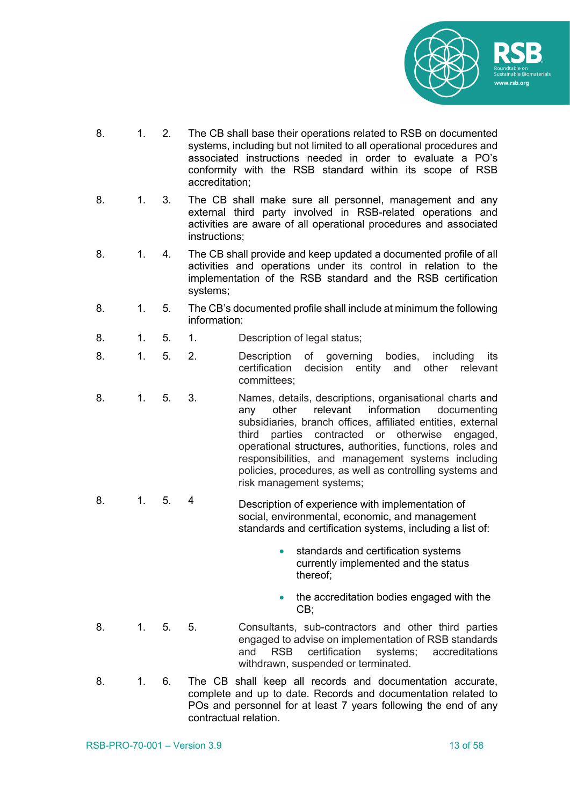

- 8. 1. 2. The CB shall base their operations related to RSB on documented systems, including but not limited to all operational procedures and associated instructions needed in order to evaluate a PO's conformity with the RSB standard within its scope of RSB accreditation;
- 8. 1. 3. The CB shall make sure all personnel, management and any external third party involved in RSB-related operations and activities are aware of all operational procedures and associated instructions;
- 8. 1. 4. The CB shall provide and keep updated a documented profile of all activities and operations under its control in relation to the implementation of the RSB standard and the RSB certification systems;
- 8. 1. 5. The CB's documented profile shall include at minimum the following information:
- 8. 1. 5. 1. Description of legal status;
- 8. 1. 5. 2. Description of governing bodies, including its certification decision entity and other relevant committees;
- 8. 1. 5. 3. Names, details, descriptions, organisational charts and any other relevant information documenting subsidiaries, branch offices, affiliated entities, external third parties contracted or otherwise engaged, operational structures, authorities, functions, roles and responsibilities, and management systems including policies, procedures, as well as controlling systems and risk management systems;
- 8. 1. 5. 4 Description of experience with implementation of social, environmental, economic, and management standards and certification systems, including a list of:
	- standards and certification systems currently implemented and the status thereof;
	- the accreditation bodies engaged with the CB;
- 8. 1. 5. 5. Consultants, sub-contractors and other third parties engaged to advise on implementation of RSB standards and RSB certification systems; accreditations withdrawn, suspended or terminated.
- 8. 1. 6. The CB shall keep all records and documentation accurate, complete and up to date. Records and documentation related to POs and personnel for at least 7 years following the end of any contractual relation.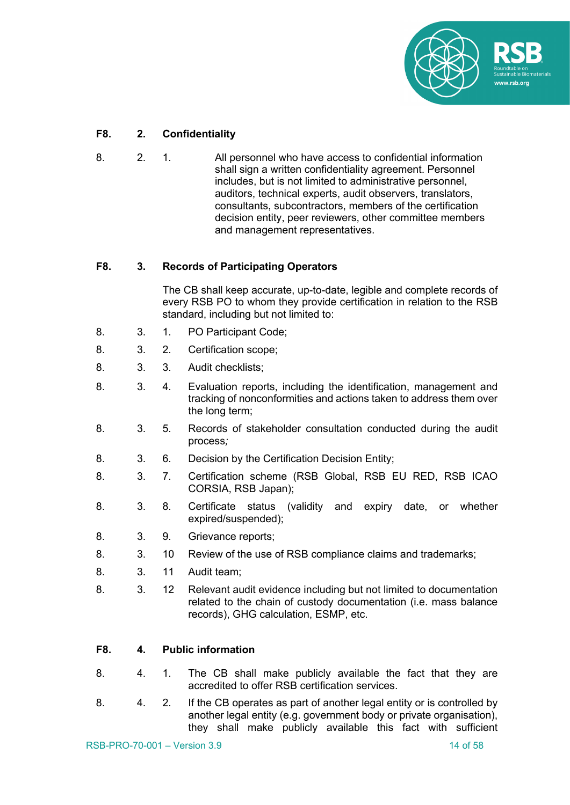

#### **F8. 2. Confidentiality**

8. 2. 1. All personnel who have access to confidential information shall sign a written confidentiality agreement. Personnel includes, but is not limited to administrative personnel, auditors, technical experts, audit observers, translators, consultants, subcontractors, members of the certification decision entity, peer reviewers, other committee members and management representatives.

#### **F8. 3. Records of Participating Operators**

The CB shall keep accurate, up-to-date, legible and complete records of every RSB PO to whom they provide certification in relation to the RSB standard, including but not limited to:

- 8. 3. 1. PO Participant Code;
- 8. 3. 2. Certification scope;
- 8. 3. 3. Audit checklists;
- 8. 3. 4. Evaluation reports, including the identification, management and tracking of nonconformities and actions taken to address them over the long term;
- 8. 3. 5. Records of stakeholder consultation conducted during the audit process*;*
- 8. 3. 6. Decision by the Certification Decision Entity;
- 8. 3. 7. Certification scheme (RSB Global, RSB EU RED, RSB ICAO CORSIA, RSB Japan);
- 8. 3. 8. Certificate status (validity and expiry date, or whether expired/suspended);
- 8. 3. 9. Grievance reports;
- 8. 3. 10 Review of the use of RSB compliance claims and trademarks;
- 8. 3. 11 Audit team;
- 8. 3. 12 Relevant audit evidence including but not limited to documentation related to the chain of custody documentation (i.e. mass balance records), GHG calculation, ESMP, etc.

#### **F8. 4. Public information**

- 8. 4. 1. The CB shall make publicly available the fact that they are accredited to offer RSB certification services.
- 8. 4. 2. If the CB operates as part of another legal entity or is controlled by another legal entity (e.g. government body or private organisation), they shall make publicly available this fact with sufficient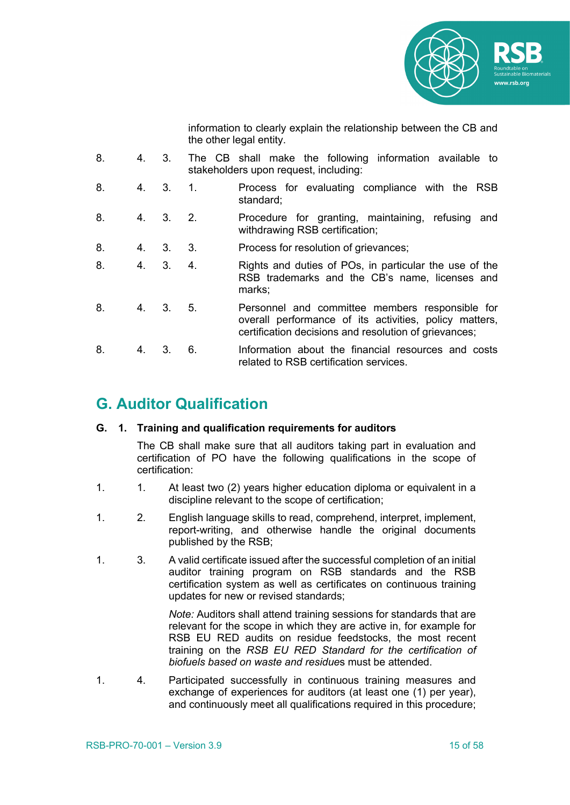

information to clearly explain the relationship between the CB and the other legal entity.

| 8. | 4. | 3.       |                  | The CB shall make the following information available to<br>stakeholders upon request, including:                                                                  |
|----|----|----------|------------------|--------------------------------------------------------------------------------------------------------------------------------------------------------------------|
| 8. |    | $4^{3}$  | $\overline{1}$ . | Process for evaluating compliance with the RSB<br>standard;                                                                                                        |
| 8. |    | 4. 3.    | 2.               | Procedure for granting, maintaining, refusing and<br>withdrawing RSB certification;                                                                                |
| 8. |    | 4, 3, 3, |                  | Process for resolution of grievances;                                                                                                                              |
| 8. |    | 4. 3.    | 4                | Rights and duties of POs, in particular the use of the<br>RSB trademarks and the CB's name, licenses and<br>marks;                                                 |
| 8. |    | 4, 3, 5, |                  | Personnel and committee members responsible for<br>overall performance of its activities, policy matters,<br>certification decisions and resolution of grievances; |
| 8. | 4. | 3.       | 6.               | Information about the financial resources and costs<br>related to RSB certification services.                                                                      |

## **G. Auditor Qualification**

#### **G. 1. Training and qualification requirements for auditors**

The CB shall make sure that all auditors taking part in evaluation and certification of PO have the following qualifications in the scope of certification:

- 1. 1. At least two (2) years higher education diploma or equivalent in a discipline relevant to the scope of certification;
- 1. 2. English language skills to read, comprehend, interpret, implement, report-writing, and otherwise handle the original documents published by the RSB;
- 1. 3. A valid certificate issued after the successful completion of an initial auditor training program on RSB standards and the RSB certification system as well as certificates on continuous training updates for new or revised standards;

*Note:* Auditors shall attend training sessions for standards that are relevant for the scope in which they are active in, for example for RSB EU RED audits on residue feedstocks, the most recent training on the *RSB EU RED Standard for the certification of biofuels based on waste and residue*s must be attended.

1. 4. Participated successfully in continuous training measures and exchange of experiences for auditors (at least one (1) per year), and continuously meet all qualifications required in this procedure;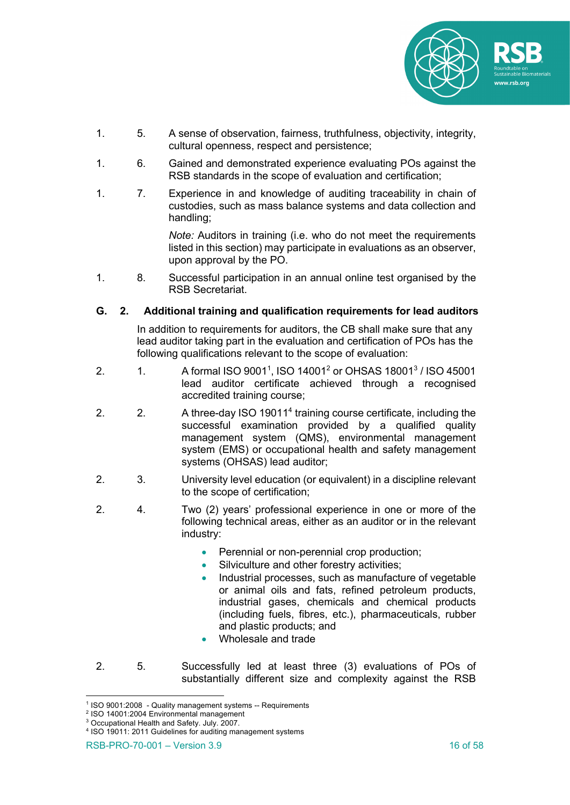

- 1. 5. A sense of observation, fairness, truthfulness, objectivity, integrity, cultural openness, respect and persistence;
- 1. 6. Gained and demonstrated experience evaluating POs against the RSB standards in the scope of evaluation and certification;
- 1. 7. Experience in and knowledge of auditing traceability in chain of custodies, such as mass balance systems and data collection and handling;

*Note:* Auditors in training (i.e. who do not meet the requirements listed in this section) may participate in evaluations as an observer, upon approval by the PO.

1. 8. Successful participation in an annual online test organised by the RSB Secretariat.

#### **G. 2. Additional training and qualification requirements for lead auditors**

In addition to requirements for auditors, the CB shall make sure that any lead auditor taking part in the evaluation and certification of POs has the following qualifications relevant to the scope of evaluation:

- 2.  $1.$  A formal ISO 9001<sup>1</sup>, ISO 14001<sup>2</sup> or OHSAS 18001<sup>3</sup> / ISO 45001 lead auditor certificate achieved through a recognised accredited training course;
- 2. 2. A three-day ISO 19011<sup>4</sup> training course certificate, including the successful examination provided by a qualified quality management system (QMS), environmental management system (EMS) or occupational health and safety management systems (OHSAS) lead auditor;
- 2. 3. University level education (or equivalent) in a discipline relevant to the scope of certification;
- 2. 4. Two (2) years' professional experience in one or more of the following technical areas, either as an auditor or in the relevant industry:
	- Perennial or non-perennial crop production;
	- Silviculture and other forestry activities;
	- Industrial processes, such as manufacture of vegetable or animal oils and fats, refined petroleum products, industrial gases, chemicals and chemical products (including fuels, fibres, etc.), pharmaceuticals, rubber and plastic products; and
	- Wholesale and trade
- 2. 5. Successfully led at least three (3) evaluations of POs of substantially different size and complexity against the RSB

<sup>1</sup> ISO 9001:2008 - Quality management systems -- Requirements

<sup>2</sup> ISO 14001:2004 Environmental management

<sup>3</sup> Occupational Health and Safety. July. 2007.

<sup>4</sup> ISO 19011: 2011 Guidelines for auditing management systems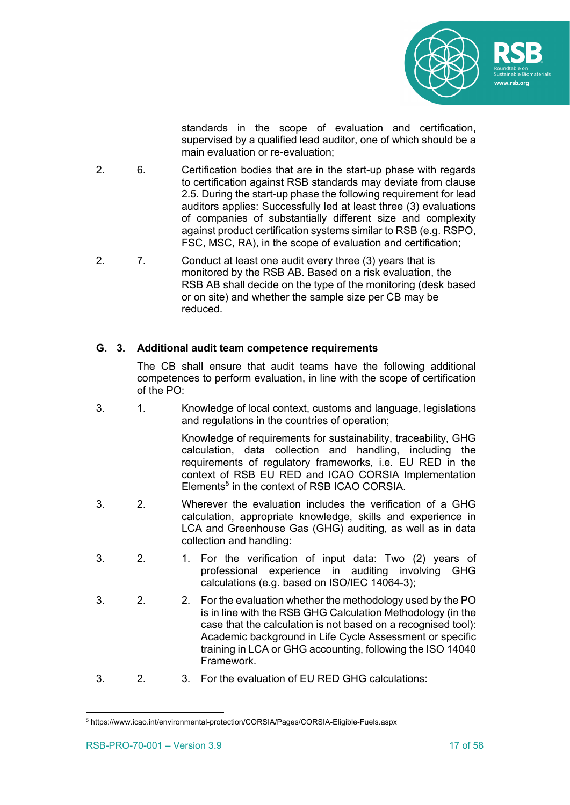

standards in the scope of evaluation and certification, supervised by a qualified lead auditor, one of which should be a main evaluation or re-evaluation;

- 2. 6. Certification bodies that are in the start-up phase with regards to certification against RSB standards may deviate from clause 2.5. During the start-up phase the following requirement for lead auditors applies: Successfully led at least three (3) evaluations of companies of substantially different size and complexity against product certification systems similar to RSB (e.g. RSPO, FSC, MSC, RA), in the scope of evaluation and certification;
- 2. 7. Conduct at least one audit every three (3) years that is monitored by the RSB AB. Based on a risk evaluation, the RSB AB shall decide on the type of the monitoring (desk based or on site) and whether the sample size per CB may be reduced.

#### **G. 3. Additional audit team competence requirements**

The CB shall ensure that audit teams have the following additional competences to perform evaluation, in line with the scope of certification of the PO:

3. 1. Knowledge of local context, customs and language, legislations and regulations in the countries of operation;

> Knowledge of requirements for sustainability, traceability, GHG calculation, data collection and handling, including the requirements of regulatory frameworks, i.e. EU RED in the context of RSB EU RED and ICAO CORSIA Implementation Elements<sup>5</sup> in the context of RSB ICAO CORSIA.

- 3. 2. Wherever the evaluation includes the verification of a GHG calculation, appropriate knowledge, skills and experience in LCA and Greenhouse Gas (GHG) auditing, as well as in data collection and handling:
- 3. 2. 1. For the verification of input data: Two (2) years of professional experience in auditing involving GHG calculations (e.g. based on ISO/IEC 14064-3);
- 3. 2. 2. For the evaluation whether the methodology used by the PO is in line with the RSB GHG Calculation Methodology (in the case that the calculation is not based on a recognised tool): Academic background in Life Cycle Assessment or specific training in LCA or GHG accounting, following the ISO 14040 Framework.
- 3. 2. 3. For the evaluation of EU RED GHG calculations:

<sup>5</sup> https://www.icao.int/environmental-protection/CORSIA/Pages/CORSIA-Eligible-Fuels.aspx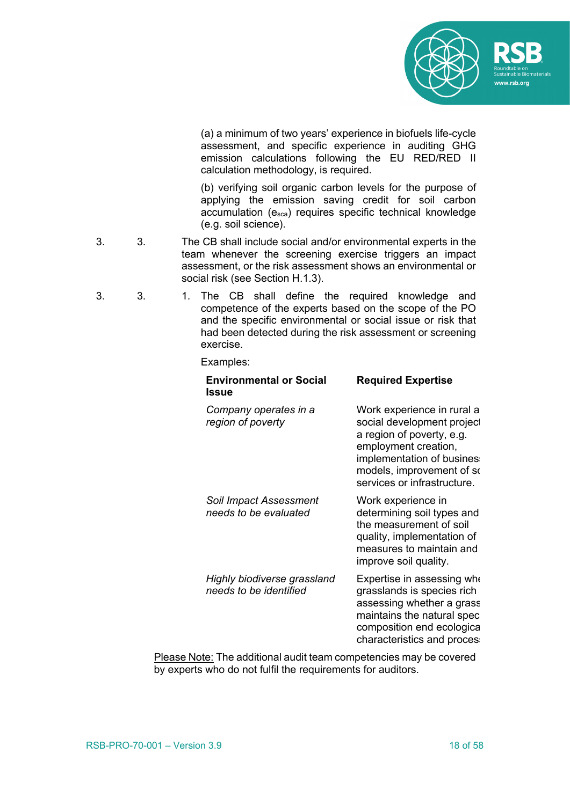

(a) a minimum of two years' experience in biofuels life-cycle assessment, and specific experience in auditing GHG emission calculations following the EU RED/RED II calculation methodology, is required.

(b) verifying soil organic carbon levels for the purpose of applying the emission saving credit for soil carbon accumulation  $(e_{sca})$  requires specific technical knowledge (e.g. soil science).

- 3. 3. The CB shall include social and/or environmental experts in the team whenever the screening exercise triggers an impact assessment, or the risk assessment shows an environmental or social risk (see Section H.1.3).
- 3. 3. 1. The CB shall define the required knowledge and competence of the experts based on the scope of the PO and the specific environmental or social issue or risk that had been detected during the risk assessment or screening exercise.

#### Examples:

| <b>Environmental or Social</b><br>Issue                | <b>Required Expertise</b>                                                                                                                                                                              |
|--------------------------------------------------------|--------------------------------------------------------------------------------------------------------------------------------------------------------------------------------------------------------|
| Company operates in a<br>region of poverty             | Work experience in rural a<br>social development project<br>a region of poverty, e.g.<br>employment creation,<br>implementation of busines<br>models, improvement of so<br>services or infrastructure. |
| <b>Soil Impact Assessment</b><br>needs to be evaluated | Work experience in<br>determining soil types and<br>the measurement of soil<br>quality, implementation of<br>measures to maintain and<br>improve soil quality.                                         |
| Highly biodiverse grassland<br>needs to be identified  | Expertise in assessing who<br>grasslands is species rich<br>assessing whether a grass<br>maintains the natural spec<br>composition end ecologica<br>characteristics and proces                         |

Please Note: The additional audit team competencies may be covered by experts who do not fulfil the requirements for auditors.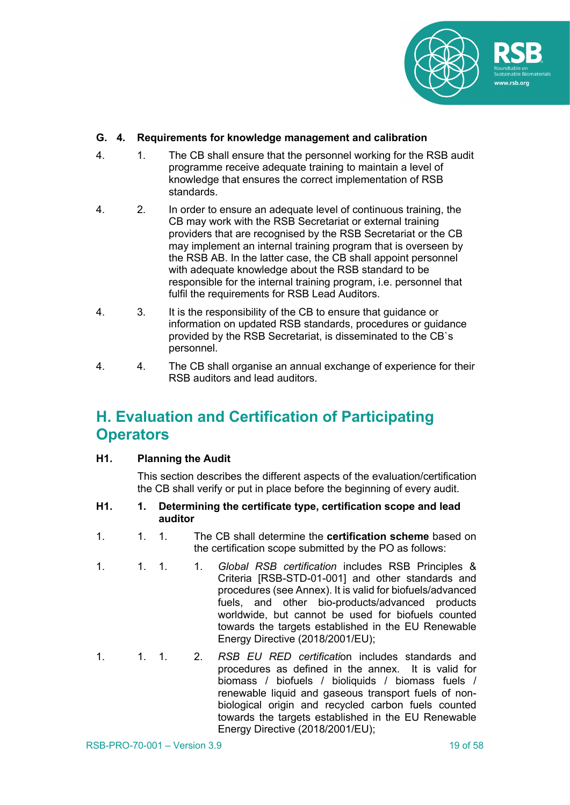

#### **G. 4. Requirements for knowledge management and calibration**

- 4. 1. The CB shall ensure that the personnel working for the RSB audit programme receive adequate training to maintain a level of knowledge that ensures the correct implementation of RSB standards.
- 4. 2. In order to ensure an adequate level of continuous training, the CB may work with the RSB Secretariat or external training providers that are recognised by the RSB Secretariat or the CB may implement an internal training program that is overseen by the RSB AB. In the latter case, the CB shall appoint personnel with adequate knowledge about the RSB standard to be responsible for the internal training program, i.e. personnel that fulfil the requirements for RSB Lead Auditors.
- 4. 3. It is the responsibility of the CB to ensure that guidance or information on updated RSB standards, procedures or guidance provided by the RSB Secretariat, is disseminated to the CB`s personnel.
- 4. 4. The CB shall organise an annual exchange of experience for their RSB auditors and lead auditors.

## **H. Evaluation and Certification of Participating Operators**

#### **H1. Planning the Audit**

This section describes the different aspects of the evaluation/certification the CB shall verify or put in place before the beginning of every audit.

#### **H1. 1. Determining the certificate type, certification scope and lead auditor**

- 1. 1. 1. The CB shall determine the **certification scheme** based on the certification scope submitted by the PO as follows:
- 1. 1. 1. 1. *Global RSB certification* includes RSB Principles & Criteria [RSB-STD-01-001] and other standards and procedures (see Annex). It is valid for biofuels/advanced fuels, and other bio-products/advanced products worldwide, but cannot be used for biofuels counted towards the targets established in the EU Renewable Energy Directive (2018/2001/EU);
- 1. 1. 1. 2. *RSB EU RED certificati*on includes standards and procedures as defined in the annex. It is valid for biomass / biofuels / bioliquids / biomass fuels / renewable liquid and gaseous transport fuels of nonbiological origin and recycled carbon fuels counted towards the targets established in the EU Renewable Energy Directive (2018/2001/EU);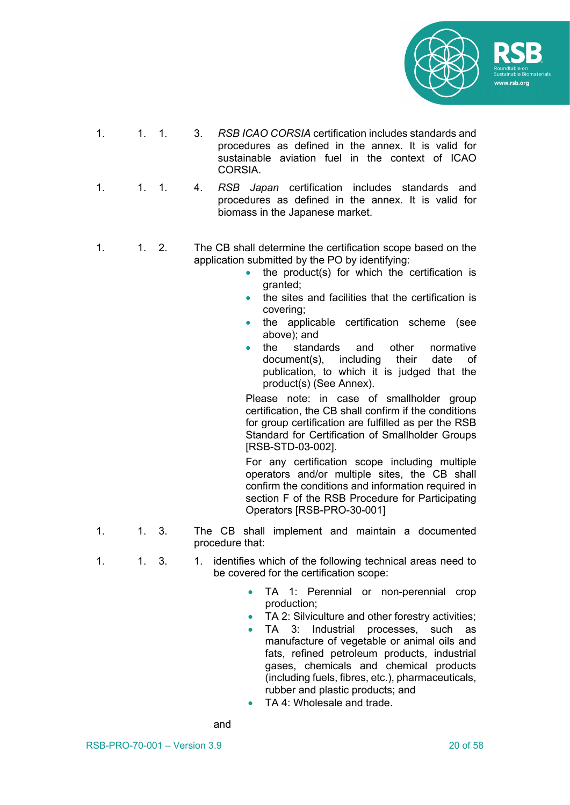

- 1. 1. 1. 3. *RSB ICAO CORSIA* certification includes standards and procedures as defined in the annex. It is valid for sustainable aviation fuel in the context of ICAO **CORSIA**
- 1. 1. 1. 4. *RSB Japan* certification includes standards and procedures as defined in the annex. It is valid for biomass in the Japanese market.
- 1. 1. 2. The CB shall determine the certification scope based on the application submitted by the PO by identifying:
	- the product(s) for which the certification is granted;
	- the sites and facilities that the certification is covering;
	- the applicable certification scheme (see above); and
	- the standards and other normative document(s), including their date of publication, to which it is judged that the product(s) (See Annex).

Please note: in case of smallholder group certification, the CB shall confirm if the conditions for group certification are fulfilled as per the RSB Standard for Certification of Smallholder Groups [RSB-STD-03-002].

For any certification scope including multiple operators and/or multiple sites, the CB shall confirm the conditions and information required in section F of the RSB Procedure for Participating Operators [RSB-PRO-30-001]

- 1. 1. 3. The CB shall implement and maintain a documented procedure that:
- 1. 1. 3. 1. identifies which of the following technical areas need to be covered for the certification scope:
	- TA 1: Perennial or non-perennial crop production;
	- TA 2: Silviculture and other forestry activities;
	- TA 3: Industrial processes, such as manufacture of vegetable or animal oils and fats, refined petroleum products, industrial gases, chemicals and chemical products (including fuels, fibres, etc.), pharmaceuticals, rubber and plastic products; and
	- TA 4: Wholesale and trade.

and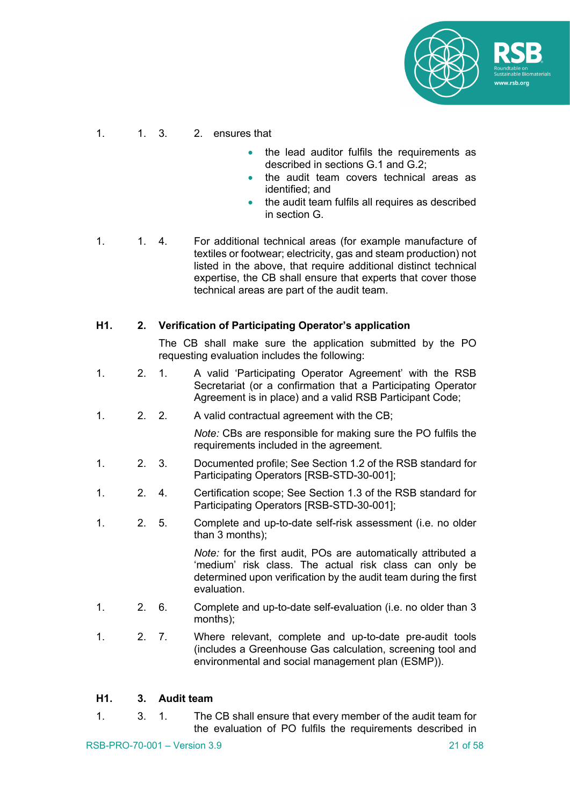

#### 1. 1. 3. 2. ensures that

- the lead auditor fulfils the requirements as described in sections G.1 and G.2;
- the audit team covers technical areas as identified; and
- the audit team fulfils all requires as described in section G.
- 1. 1. 4. For additional technical areas (for example manufacture of textiles or footwear; electricity, gas and steam production) not listed in the above, that require additional distinct technical expertise, the CB shall ensure that experts that cover those technical areas are part of the audit team.

#### **H1. 2. Verification of Participating Operator's application**

The CB shall make sure the application submitted by the PO requesting evaluation includes the following:

- 1. 2. 1. A valid 'Participating Operator Agreement' with the RSB Secretariat (or a confirmation that a Participating Operator Agreement is in place) and a valid RSB Participant Code;
- 1. 2. 2. A valid contractual agreement with the CB;

*Note:* CBs are responsible for making sure the PO fulfils the requirements included in the agreement*.*

- 1. 2. 3. Documented profile; See Section 1.2 of the RSB standard for Participating Operators [RSB-STD-30-001];
- 1. 2. 4. Certification scope; See Section 1.3 of the RSB standard for Participating Operators [RSB-STD-30-001];
- 1. 2. 5. Complete and up-to-date self-risk assessment (i.e. no older than 3 months);

*Note:* for the first audit, POs are automatically attributed a 'medium' risk class. The actual risk class can only be determined upon verification by the audit team during the first evaluation.

- 1. 2. 6. Complete and up-to-date self-evaluation (i.e. no older than 3 months);
- 1. 2. 7. Where relevant, complete and up-to-date pre-audit tools (includes a Greenhouse Gas calculation, screening tool and environmental and social management plan (ESMP)).

#### **H1. 3. Audit team**

1. 3. 1. The CB shall ensure that every member of the audit team for the evaluation of PO fulfils the requirements described in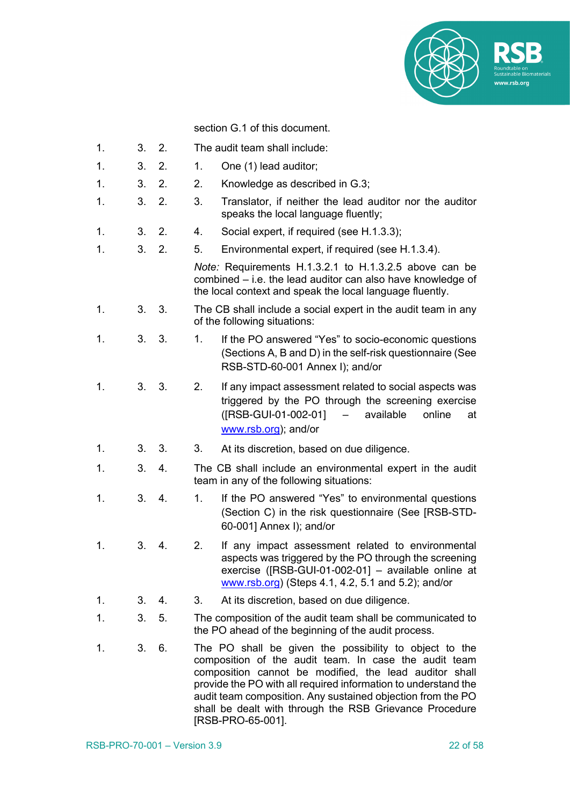

section G.1 of this document.

- 1. 3. 2. The audit team shall include:
- 1. 3. 2. 1. One (1) lead auditor;
- 1. 3. 2. 2. Knowledge as described in G.3;
- 1. 3. 2. 3. Translator, if neither the lead auditor nor the auditor speaks the local language fluently;
- 1. 3. 2. 4. Social expert, if required (see H.1.3.3);
- 1. 3. 2. 5. Environmental expert, if required (see H.1.3.4).

*Note:* Requirements H.1.3.2.1 to H.1.3.2.5 above can be combined – i.e. the lead auditor can also have knowledge of the local context and speak the local language fluently.

- 1. 3. 3. The CB shall include a social expert in the audit team in any of the following situations:
- 1. 3. 3. 1. If the PO answered "Yes" to socio-economic questions (Sections A, B and D) in the self-risk questionnaire (See RSB-STD-60-001 Annex I); and/or
- 1. 3. 3. 2. If any impact assessment related to social aspects was triggered by the PO through the screening exercise ([RSB-GUI-01-002-01] – available online at www.rsb.org); and/or
- 1. 3. 3. 3. At its discretion, based on due diligence.
- 1. 3. 4. The CB shall include an environmental expert in the audit team in any of the following situations:
- 1. 3. 4. 1. If the PO answered "Yes" to environmental questions (Section C) in the risk questionnaire (See [RSB-STD-60-001] Annex I); and/or
- 1. 3. 4. 2. If any impact assessment related to environmental aspects was triggered by the PO through the screening exercise ([RSB-GUI-01-002-01] – available online at www.rsb.org) (Steps 4.1, 4.2, 5.1 and 5.2); and/or
- 1. 3. 4. 3. At its discretion, based on due diligence.
- 1. 3. 5. The composition of the audit team shall be communicated to the PO ahead of the beginning of the audit process.
- 1. 3. 6. The PO shall be given the possibility to object to the composition of the audit team. In case the audit team composition cannot be modified, the lead auditor shall provide the PO with all required information to understand the audit team composition. Any sustained objection from the PO shall be dealt with through the RSB Grievance Procedure [RSB-PRO-65-001].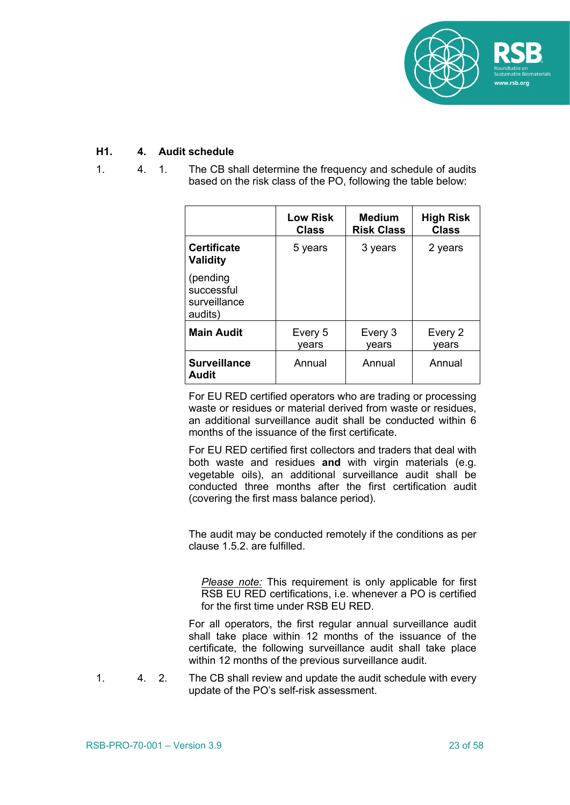

#### **H1. 4. Audit schedule**

1. 4. 1. The CB shall determine the frequency and schedule of audits based on the risk class of the PO, following the table below:

|                                                   | <b>Low Risk</b><br><b>Class</b> | <b>Medium</b><br><b>Risk Class</b> | <b>High Risk</b><br><b>Class</b> |
|---------------------------------------------------|---------------------------------|------------------------------------|----------------------------------|
| <b>Certificate</b><br><b>Validity</b>             | 5 years                         | 3 years                            | 2 years                          |
| (pending<br>successful<br>surveillance<br>audits) |                                 |                                    |                                  |
| <b>Main Audit</b>                                 | Every 5<br>vears                | Every 3<br>vears                   | Every 2<br>vears                 |
| <b>Surveillance</b><br>Audit                      | Annual                          | Annual                             | Annual                           |

For EU RED certified operators who are trading or processing waste or residues or material derived from waste or residues, an additional surveillance audit shall be conducted within 6 months of the issuance of the first certificate.

For EU RED certified first collectors and traders that deal with both waste and residues **and** with virgin materials (e.g. vegetable oils), an additional surveillance audit shall be conducted three months after the first certification audit (covering the first mass balance period).

The audit may be conducted remotely if the conditions as per clause 1.5.2. are fulfilled.

*Please note:* This requirement is only applicable for first RSB EU RED certifications, i.e. whenever a PO is certified for the first time under RSB EU RED.

For all operators, the first regular annual surveillance audit shall take place within 12 months of the issuance of the certificate, the following surveillance audit shall take place within 12 months of the previous surveillance audit.

1. 4. 2. The CB shall review and update the audit schedule with every update of the PO's self-risk assessment.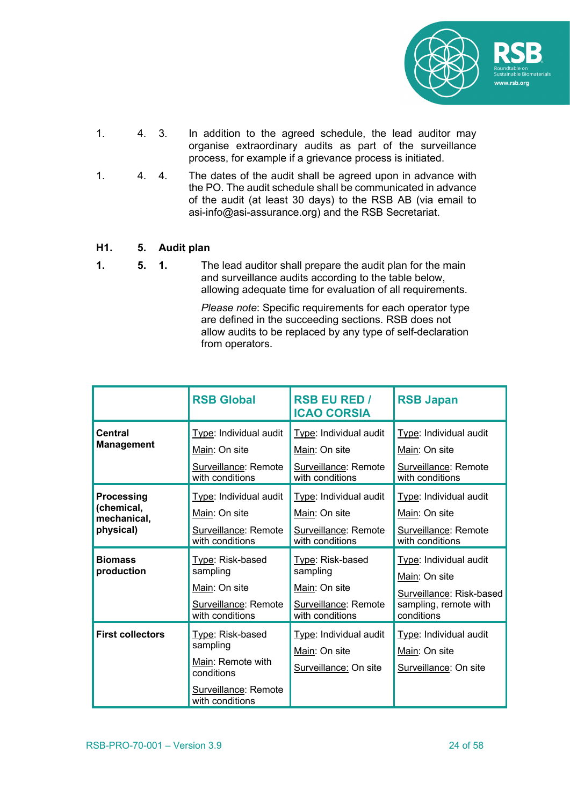

- 1. 4. 3. In addition to the agreed schedule, the lead auditor may organise extraordinary audits as part of the surveillance process, for example if a grievance process is initiated.
- 1. 4. 4. The dates of the audit shall be agreed upon in advance with the PO. The audit schedule shall be communicated in advance of the audit (at least 30 days) to the RSB AB (via email to asi-info@asi-assurance.org) and the RSB Secretariat.

#### **H1. 5. Audit plan**

**1. 5. 1.** The lead auditor shall prepare the audit plan for the main and surveillance audits according to the table below, allowing adequate time for evaluation of all requirements.

> *Please note*: Specific requirements for each operator type are defined in the succeeding sections. RSB does not allow audits to be replaced by any type of self-declaration from operators.

|                                                      | <b>RSB Global</b>                                                                        | <b>RSB EU RED /</b><br><b>ICAO CORSIA</b>                                                | <b>RSB Japan</b>                                                                                           |  |  |
|------------------------------------------------------|------------------------------------------------------------------------------------------|------------------------------------------------------------------------------------------|------------------------------------------------------------------------------------------------------------|--|--|
| Central<br><b>Management</b>                         | Type: Individual audit<br>Main: On site<br>Surveillance: Remote<br>with conditions       | Type: Individual audit<br>Main: On site<br>Surveillance: Remote<br>with conditions       | Type: Individual audit<br>Main: On site<br>Surveillance: Remote<br>with conditions                         |  |  |
| Processing<br>(chemical,<br>mechanical,<br>physical) | Type: Individual audit<br>Main: On site<br>Surveillance: Remote<br>with conditions       | Type: Individual audit<br>Main: On site<br>Surveillance: Remote<br>with conditions       | Type: Individual audit<br>Main: On site<br>Surveillance: Remote<br>with conditions                         |  |  |
| <b>Biomass</b><br>production                         | Type: Risk-based<br>sampling<br>Main: On site<br>Surveillance: Remote<br>with conditions | Type: Risk-based<br>sampling<br>Main: On site<br>Surveillance: Remote<br>with conditions | Type: Individual audit<br>Main: On site<br>Surveillance: Risk-based<br>sampling, remote with<br>conditions |  |  |
| <b>First collectors</b>                              | Type: Risk-based<br>sampling<br>Main: Remote with<br>conditions                          | Type: Individual audit<br>Main: On site<br>Surveillance: On site                         | Type: Individual audit<br>Main: On site<br>Surveillance: On site                                           |  |  |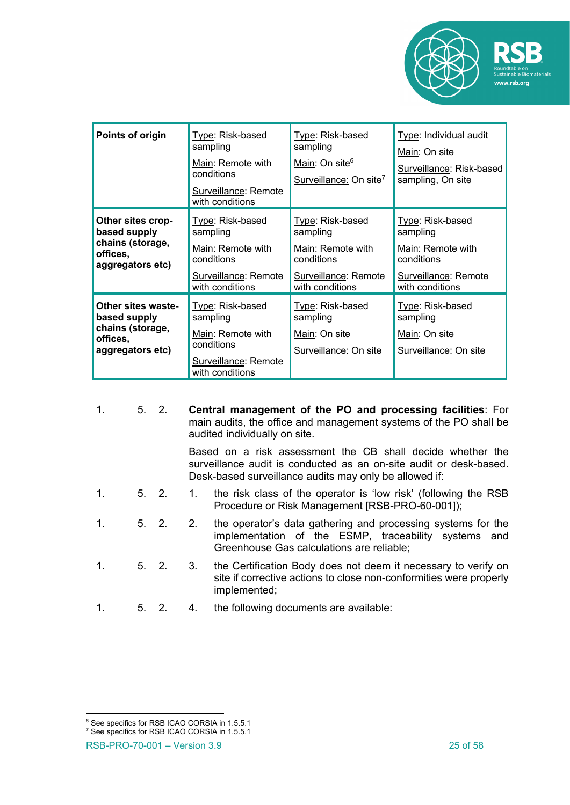

| Points of origin                                                                              | Type: Risk-based<br>sampling<br>Main: Remote with<br>conditions<br>Surveillance: Remote<br>with conditions | Type: Risk-based<br>sampling<br>Main: On site <sup>6</sup><br>Surveillance: On site <sup>7</sup>           | Type: Individual audit<br>Main: On site<br>Surveillance: Risk-based<br>sampling, On site                   |  |  |
|-----------------------------------------------------------------------------------------------|------------------------------------------------------------------------------------------------------------|------------------------------------------------------------------------------------------------------------|------------------------------------------------------------------------------------------------------------|--|--|
| Other sites crop-<br>based supply<br>chains (storage,<br>offices,<br>aggregators etc)         | Type: Risk-based<br>sampling<br>Main: Remote with<br>conditions<br>Surveillance: Remote<br>with conditions | Type: Risk-based<br>sampling<br>Main: Remote with<br>conditions<br>Surveillance: Remote<br>with conditions | Type: Risk-based<br>sampling<br>Main: Remote with<br>conditions<br>Surveillance: Remote<br>with conditions |  |  |
| <b>Other sites waste-</b><br>based supply<br>chains (storage,<br>offices,<br>aggregators etc) | Type: Risk-based<br>sampling<br>Main: Remote with<br>conditions<br>Surveillance: Remote<br>with conditions | Type: Risk-based<br>sampling<br>Main: On site<br>Surveillance: On site                                     | Type: Risk-based<br>sampling<br>Main: On site<br>Surveillance: On site                                     |  |  |

| 1.             | 5.2. |             |    | Central management of the PO and processing facilities: For<br>main audits, the office and management systems of the PO shall be<br>audited individually on site.                          |  |  |  |  |  |  |
|----------------|------|-------------|----|--------------------------------------------------------------------------------------------------------------------------------------------------------------------------------------------|--|--|--|--|--|--|
|                |      |             |    | Based on a risk assessment the CB shall decide whether the<br>surveillance audit is conducted as an on-site audit or desk-based.<br>Desk-based surveillance audits may only be allowed if: |  |  |  |  |  |  |
| $\mathbf{1}$ . |      | $5 \quad 2$ | 1. | the risk class of the operator is 'low risk' (following the RSB<br>Procedure or Risk Management [RSB-PRO-60-001]);                                                                         |  |  |  |  |  |  |
| $1_{-}$        |      | $5 \quad 2$ | 2. | the operator's data gathering and processing systems for the<br>implementation of the ESMP, traceability systems and<br>Greenhouse Gas calculations are reliable;                          |  |  |  |  |  |  |
| $1_{-}$        |      | $5 \quad 2$ | 3. | the Certification Body does not deem it necessary to verify on<br>site if corrective actions to close non-conformities were properly<br>implemented;                                       |  |  |  |  |  |  |
|                |      | 5. 2.       | 4. | the following documents are available:                                                                                                                                                     |  |  |  |  |  |  |

<sup>&</sup>lt;sup>6</sup> See specifics for RSB ICAO CORSIA in 1.5.5.1

<sup>&</sup>lt;sup>7</sup> See specifics for RSB ICAO CORSIA in 1.5.5.1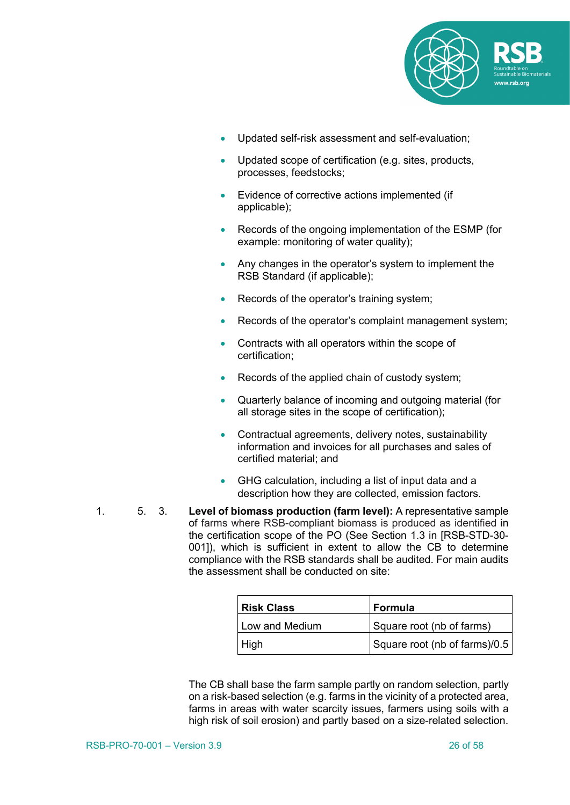

- Updated self-risk assessment and self-evaluation;
- Updated scope of certification (e.g. sites, products, processes, feedstocks;
- Evidence of corrective actions implemented (if applicable);
- Records of the ongoing implementation of the ESMP (for example: monitoring of water quality):
- Any changes in the operator's system to implement the RSB Standard (if applicable);
- Records of the operator's training system;
- Records of the operator's complaint management system;
- Contracts with all operators within the scope of certification;
- Records of the applied chain of custody system;
- Quarterly balance of incoming and outgoing material (for all storage sites in the scope of certification);
- Contractual agreements, delivery notes, sustainability information and invoices for all purchases and sales of certified material; and
- GHG calculation, including a list of input data and a description how they are collected, emission factors.
- 1. 5. 3. **Level of biomass production (farm level):** A representative sample of farms where RSB-compliant biomass is produced as identified in the certification scope of the PO (See Section 1.3 in [RSB-STD-30- 001]), which is sufficient in extent to allow the CB to determine compliance with the RSB standards shall be audited. For main audits the assessment shall be conducted on site:

| l Risk Class   | <b>Formula</b>                |
|----------------|-------------------------------|
| Low and Medium | Square root (nb of farms)     |
| High           | Square root (nb of farms)/0.5 |

The CB shall base the farm sample partly on random selection, partly on a risk-based selection (e.g. farms in the vicinity of a protected area, farms in areas with water scarcity issues, farmers using soils with a high risk of soil erosion) and partly based on a size-related selection.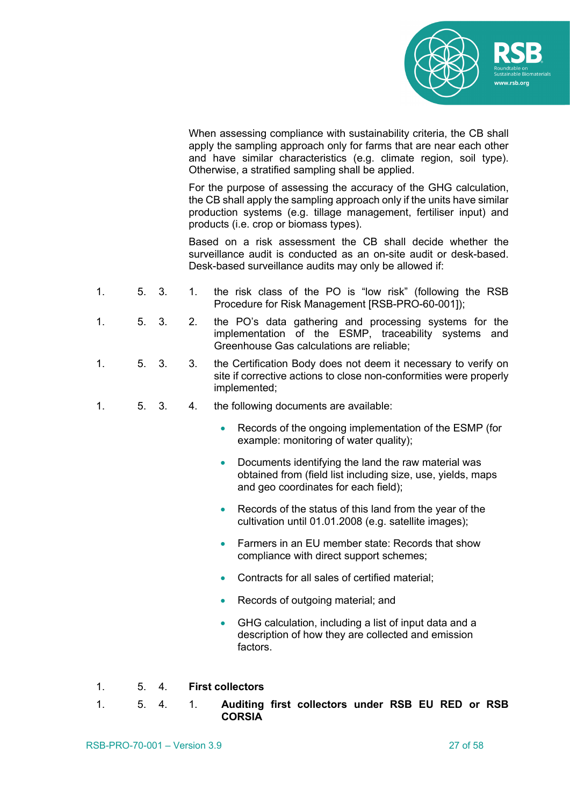

When assessing compliance with sustainability criteria, the CB shall apply the sampling approach only for farms that are near each other and have similar characteristics (e.g. climate region, soil type). Otherwise, a stratified sampling shall be applied.

For the purpose of assessing the accuracy of the GHG calculation, the CB shall apply the sampling approach only if the units have similar production systems (e.g. tillage management, fertiliser input) and products (i.e. crop or biomass types).

Based on a risk assessment the CB shall decide whether the surveillance audit is conducted as an on-site audit or desk-based. Desk-based surveillance audits may only be allowed if:

- 1. 5. 3. 1. the risk class of the PO is "low risk" (following the RSB Procedure for Risk Management [RSB-PRO-60-001]);
- 1. 5. 3. 2. the PO's data gathering and processing systems for the implementation of the ESMP, traceability systems and Greenhouse Gas calculations are reliable;
- 1. 5. 3. 3. the Certification Body does not deem it necessary to verify on site if corrective actions to close non-conformities were properly implemented;
- 1. 5. 3. 4. the following documents are available:
	- Records of the ongoing implementation of the ESMP (for example: monitoring of water quality);
	- Documents identifying the land the raw material was obtained from (field list including size, use, yields, maps and geo coordinates for each field);
	- Records of the status of this land from the year of the cultivation until 01.01.2008 (e.g. satellite images);
	- Farmers in an EU member state: Records that show compliance with direct support schemes;
	- Contracts for all sales of certified material;
	- Records of outgoing material; and
	- GHG calculation, including a list of input data and a description of how they are collected and emission factors.
- 1. 5. 4. **First collectors**
- 1. 5. 4. 1. **Auditing first collectors under RSB EU RED or RSB CORSIA**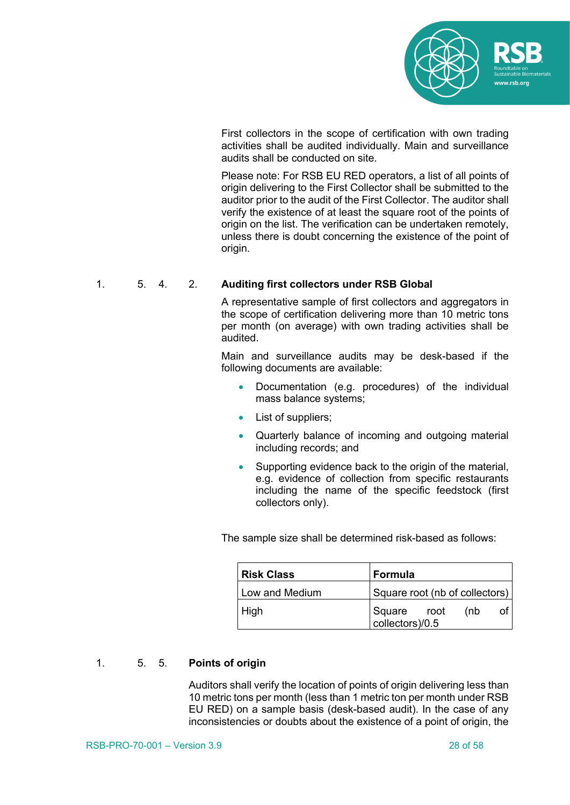

First collectors in the scope of certification with own trading activities shall be audited individually. Main and surveillance audits shall be conducted on site.

Please note: For RSB EU RED operators, a list of all points of origin delivering to the First Collector shall be submitted to the auditor prior to the audit of the First Collector. The auditor shall verify the existence of at least the square root of the points of origin on the list. The verification can be undertaken remotely, unless there is doubt concerning the existence of the point of origin.

#### 1. 5. 4. 2. **Auditing first collectors under RSB Global**

A representative sample of first collectors and aggregators in the scope of certification delivering more than 10 metric tons per month (on average) with own trading activities shall be audited.

Main and surveillance audits may be desk-based if the following documents are available:

- Documentation (e.g. procedures) of the individual mass balance systems;
- List of suppliers;
- Quarterly balance of incoming and outgoing material including records; and
- Supporting evidence back to the origin of the material. e.g. evidence of collection from specific restaurants including the name of the specific feedstock (first collectors only).

The sample size shall be determined risk-based as follows:

| Risk Class       | Formula                                 |
|------------------|-----------------------------------------|
| l Low and Medium | Square root (nb of collectors)          |
| High             | Square root<br>  collectors)/0.5<br>(nb |

#### 1. 5. 5. **Points of origin**

Auditors shall verify the location of points of origin delivering less than 10 metric tons per month (less than 1 metric ton per month under RSB EU RED) on a sample basis (desk-based audit). In the case of any inconsistencies or doubts about the existence of a point of origin, the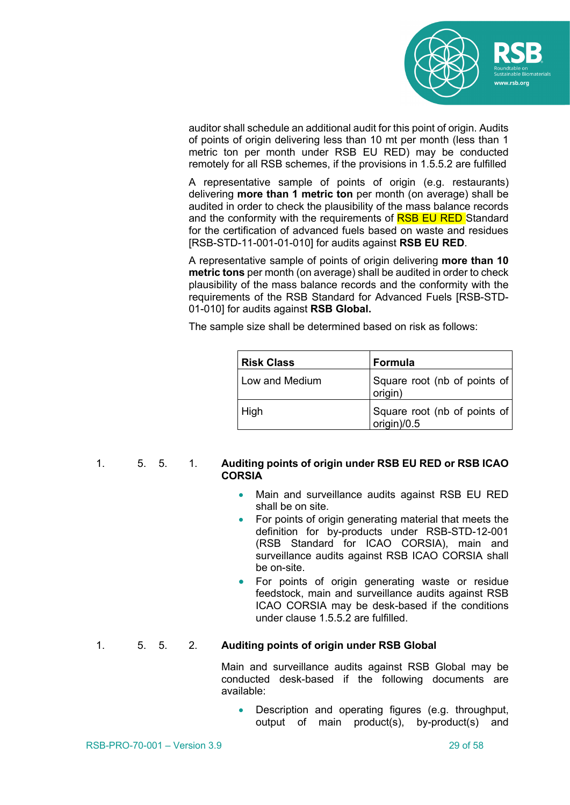

auditor shall schedule an additional audit for this point of origin. Audits of points of origin delivering less than 10 mt per month (less than 1 metric ton per month under RSB EU RED) may be conducted remotely for all RSB schemes, if the provisions in 1.5.5.2 are fulfilled

A representative sample of points of origin (e.g. restaurants) delivering **more than 1 metric ton** per month (on average) shall be audited in order to check the plausibility of the mass balance records and the conformity with the requirements of **RSB EU RED** Standard for the certification of advanced fuels based on waste and residues [RSB-STD-11-001-01-010] for audits against **RSB EU RED**.

A representative sample of points of origin delivering **more than 10 metric tons** per month (on average) shall be audited in order to check plausibility of the mass balance records and the conformity with the requirements of the RSB Standard for Advanced Fuels [RSB-STD-01-010] for audits against **RSB Global.** 

The sample size shall be determined based on risk as follows:

| <b>Risk Class</b> | Formula                                     |
|-------------------|---------------------------------------------|
| Low and Medium    | Square root (nb of points of<br>origin)     |
| High              | Square root (nb of points of<br>origin)/0.5 |

#### 1. 5. 5. 1. **Auditing points of origin under RSB EU RED or RSB ICAO CORSIA**

- Main and surveillance audits against RSB EU RED shall be on site.
- For points of origin generating material that meets the definition for by-products under RSB-STD-12-001 (RSB Standard for ICAO CORSIA), main and surveillance audits against RSB ICAO CORSIA shall be on-site.
- For points of origin generating waste or residue feedstock, main and surveillance audits against RSB ICAO CORSIA may be desk-based if the conditions under clause 1.5.5.2 are fulfilled.

#### 1. 5. 5. 2. **Auditing points of origin under RSB Global**

Main and surveillance audits against RSB Global may be conducted desk-based if the following documents are available:

• Description and operating figures (e.g. throughput, output of main product(s), by-product(s) and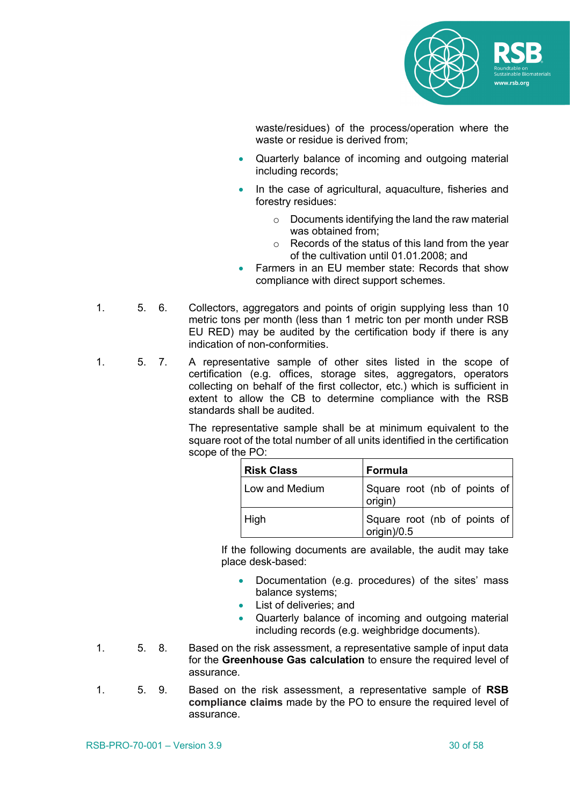

waste/residues) of the process/operation where the waste or residue is derived from;

- Quarterly balance of incoming and outgoing material including records;
- In the case of agricultural, aquaculture, fisheries and forestry residues:
	- o Documents identifying the land the raw material was obtained from;
	- o Records of the status of this land from the year of the cultivation until 01.01.2008; and
- Farmers in an EU member state: Records that show compliance with direct support schemes.
- 1. 5. 6. Collectors, aggregators and points of origin supplying less than 10 metric tons per month (less than 1 metric ton per month under RSB EU RED) may be audited by the certification body if there is any indication of non-conformities.
- 1. 5. 7. A representative sample of other sites listed in the scope of certification (e.g. offices, storage sites, aggregators, operators collecting on behalf of the first collector, etc.) which is sufficient in extent to allow the CB to determine compliance with the RSB standards shall be audited.

The representative sample shall be at minimum equivalent to the square root of the total number of all units identified in the certification scope of the PO:

| l Risk Class   | Formula                                     |
|----------------|---------------------------------------------|
| Low and Medium | Square root (nb of points of<br>origin)     |
| High           | Square root (nb of points of<br>origin)/0.5 |

If the following documents are available, the audit may take place desk-based:

- Documentation (e.g. procedures) of the sites' mass balance systems;
- List of deliveries; and
- Quarterly balance of incoming and outgoing material including records (e.g. weighbridge documents).
- 1. 5. 8. Based on the risk assessment, a representative sample of input data for the **Greenhouse Gas calculation** to ensure the required level of assurance.
- 1. 5. 9. Based on the risk assessment, a representative sample of **RSB compliance claims** made by the PO to ensure the required level of assurance.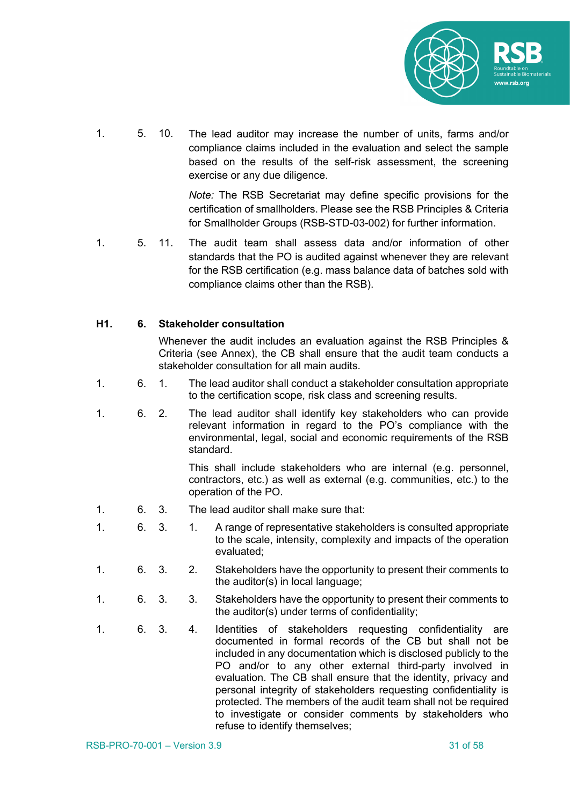

1. 5. 10. The lead auditor may increase the number of units, farms and/or compliance claims included in the evaluation and select the sample based on the results of the self-risk assessment, the screening exercise or any due diligence.

> *Note:* The RSB Secretariat may define specific provisions for the certification of smallholders. Please see the RSB Principles & Criteria for Smallholder Groups (RSB-STD-03-002) for further information.

1. 5. 11. The audit team shall assess data and/or information of other standards that the PO is audited against whenever they are relevant for the RSB certification (e.g. mass balance data of batches sold with compliance claims other than the RSB).

#### **H1. 6. Stakeholder consultation**

Whenever the audit includes an evaluation against the RSB Principles & Criteria (see Annex), the CB shall ensure that the audit team conducts a stakeholder consultation for all main audits.

- 1. 6. 1. The lead auditor shall conduct a stakeholder consultation appropriate to the certification scope, risk class and screening results.
- 1. 6. 2. The lead auditor shall identify key stakeholders who can provide relevant information in regard to the PO's compliance with the environmental, legal, social and economic requirements of the RSB standard.

This shall include stakeholders who are internal (e.g. personnel, contractors, etc.) as well as external (e.g. communities, etc.) to the operation of the PO.

- 1. 6. 3. The lead auditor shall make sure that:
- 1. 6. 3. 1. A range of representative stakeholders is consulted appropriate to the scale, intensity, complexity and impacts of the operation evaluated;
- 1. 6. 3. 2. Stakeholders have the opportunity to present their comments to the auditor(s) in local language;
- 1. 6. 3. 3. Stakeholders have the opportunity to present their comments to the auditor(s) under terms of confidentiality;
- 1. 6. 3. 4. Identities of stakeholders requesting confidentiality are documented in formal records of the CB but shall not be included in any documentation which is disclosed publicly to the PO and/or to any other external third-party involved in evaluation. The CB shall ensure that the identity, privacy and personal integrity of stakeholders requesting confidentiality is protected. The members of the audit team shall not be required to investigate or consider comments by stakeholders who refuse to identify themselves;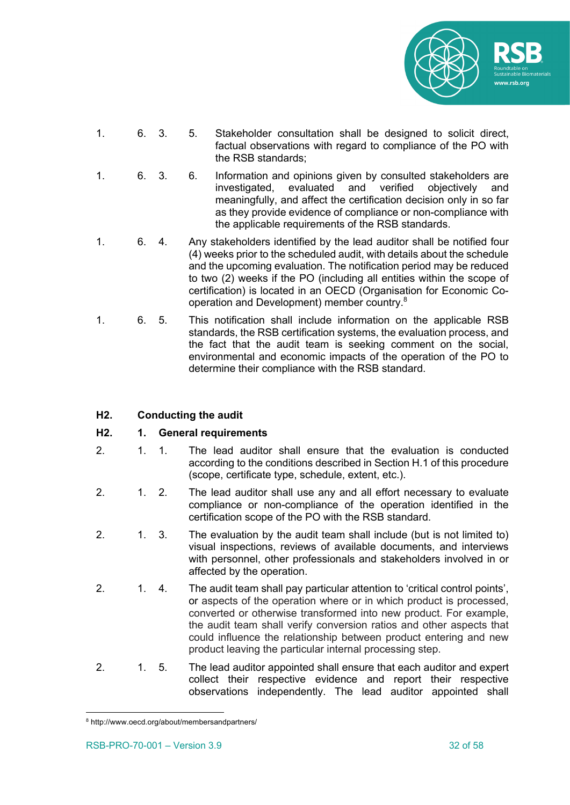

- 1. 6. 3. 5. Stakeholder consultation shall be designed to solicit direct, factual observations with regard to compliance of the PO with the RSB standards;
- 1. 6. 3. 6. Information and opinions given by consulted stakeholders are investigated, evaluated and verified objectively and meaningfully, and affect the certification decision only in so far as they provide evidence of compliance or non-compliance with the applicable requirements of the RSB standards.
- 1. 6. 4. Any stakeholders identified by the lead auditor shall be notified four (4) weeks prior to the scheduled audit, with details about the schedule and the upcoming evaluation. The notification period may be reduced to two (2) weeks if the PO (including all entities within the scope of certification) is located in an OECD (Organisation for Economic Cooperation and Development) member country.8
- 1. 6. 5. This notification shall include information on the applicable RSB standards, the RSB certification systems, the evaluation process, and the fact that the audit team is seeking comment on the social, environmental and economic impacts of the operation of the PO to determine their compliance with the RSB standard.

#### **H2. Conducting the audit**

#### **H2. 1. General requirements**

- 2. 1. 1. The lead auditor shall ensure that the evaluation is conducted according to the conditions described in Section H.1 of this procedure (scope, certificate type, schedule, extent, etc.).
- 2. 1. 2. The lead auditor shall use any and all effort necessary to evaluate compliance or non-compliance of the operation identified in the certification scope of the PO with the RSB standard.
- 2. 1. 3. The evaluation by the audit team shall include (but is not limited to) visual inspections, reviews of available documents, and interviews with personnel, other professionals and stakeholders involved in or affected by the operation.
- 2. 1. 4. The audit team shall pay particular attention to 'critical control points', or aspects of the operation where or in which product is processed, converted or otherwise transformed into new product. For example, the audit team shall verify conversion ratios and other aspects that could influence the relationship between product entering and new product leaving the particular internal processing step.
- 2. 1. 5. The lead auditor appointed shall ensure that each auditor and expert collect their respective evidence and report their respective observations independently. The lead auditor appointed shall

<sup>8</sup> http://www.oecd.org/about/membersandpartners/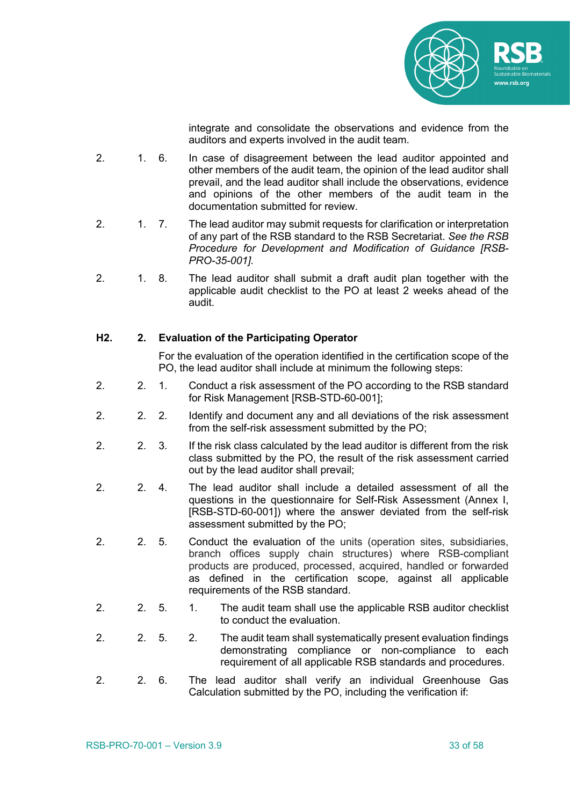

integrate and consolidate the observations and evidence from the auditors and experts involved in the audit team.

- 2. 1. 6. In case of disagreement between the lead auditor appointed and other members of the audit team, the opinion of the lead auditor shall prevail, and the lead auditor shall include the observations, evidence and opinions of the other members of the audit team in the documentation submitted for review.
- 2. 1. 7. The lead auditor may submit requests for clarification or interpretation of any part of the RSB standard to the RSB Secretariat. *See the RSB Procedure for Development and Modification of Guidance [RSB-PRO-35-001].*
- 2. 1. 8. The lead auditor shall submit a draft audit plan together with the applicable audit checklist to the PO at least 2 weeks ahead of the audit.

#### **H2. 2. Evaluation of the Participating Operator**

For the evaluation of the operation identified in the certification scope of the PO, the lead auditor shall include at minimum the following steps:

- 2. 2. 1. Conduct a risk assessment of the PO according to the RSB standard for Risk Management [RSB-STD-60-001];
- 2. 2. 2. Identify and document any and all deviations of the risk assessment from the self-risk assessment submitted by the PO;
- 2. 2. 3. If the risk class calculated by the lead auditor is different from the risk class submitted by the PO, the result of the risk assessment carried out by the lead auditor shall prevail;
- 2. 2. 4. The lead auditor shall include a detailed assessment of all the questions in the questionnaire for Self-Risk Assessment (Annex I, [RSB-STD-60-001]) where the answer deviated from the self-risk assessment submitted by the PO;
- 2. 2. 5. Conduct the evaluation of the units (operation sites, subsidiaries, branch offices supply chain structures) where RSB-compliant products are produced, processed, acquired, handled or forwarded as defined in the certification scope, against all applicable requirements of the RSB standard.
- 2. 2. 5. 1. The audit team shall use the applicable RSB auditor checklist to conduct the evaluation.
- 2. 2. 5. 2. The audit team shall systematically present evaluation findings demonstrating compliance or non-compliance to each requirement of all applicable RSB standards and procedures.
- 2. 2. 6. The lead auditor shall verify an individual Greenhouse Gas Calculation submitted by the PO, including the verification if: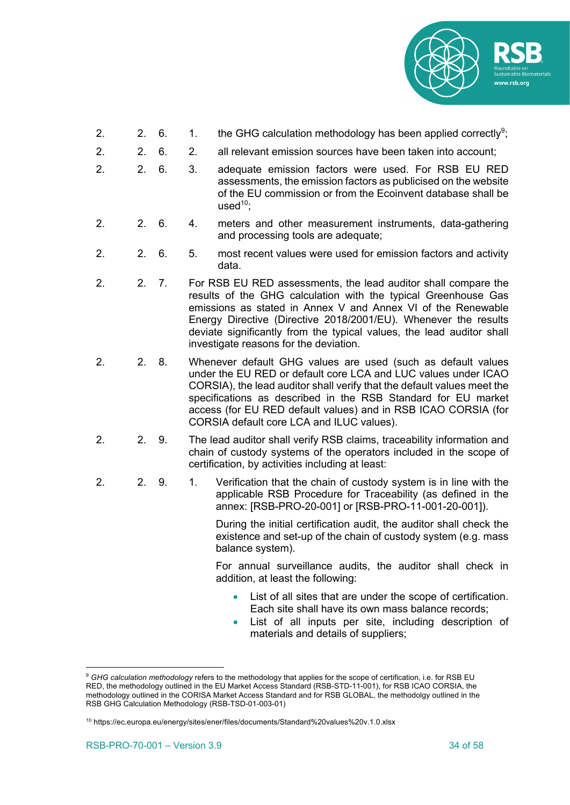

- 2.  $\phantom{00}$  2. 6.  $\phantom{0}$  1. the GHG calculation methodology has been applied correctly<sup>9</sup>;
- 2. 2. 6. 2. all relevant emission sources have been taken into account;
- 2. 2. 6. 3. adequate emission factors were used. For RSB EU RED assessments, the emission factors as publicised on the website of the EU commission or from the Ecoinvent database shall be  $used^{10}$
- 2. 2. 6. 4. meters and other measurement instruments, data-gathering and processing tools are adequate;
- 2. 2. 6. 5. most recent values were used for emission factors and activity data.
- 2. 2. 7. For RSB EU RED assessments, the lead auditor shall compare the results of the GHG calculation with the typical Greenhouse Gas emissions as stated in Annex V and Annex VI of the Renewable Energy Directive (Directive 2018/2001/EU). Whenever the results deviate significantly from the typical values, the lead auditor shall investigate reasons for the deviation.
- 2. 2. 8. Whenever default GHG values are used (such as default values under the EU RED or default core LCA and LUC values under ICAO CORSIA), the lead auditor shall verify that the default values meet the specifications as described in the RSB Standard for EU market access (for EU RED default values) and in RSB ICAO CORSIA (for CORSIA default core LCA and ILUC values).
- 2. 2. 9. The lead auditor shall verify RSB claims, traceability information and chain of custody systems of the operators included in the scope of certification, by activities including at least:
- 2. 2. 9. 1. Verification that the chain of custody system is in line with the applicable RSB Procedure for Traceability (as defined in the annex: [RSB-PRO-20-001] or [RSB-PRO-11-001-20-001]).

During the initial certification audit, the auditor shall check the existence and set-up of the chain of custody system (e.g. mass balance system).

For annual surveillance audits, the auditor shall check in addition, at least the following:

- List of all sites that are under the scope of certification. Each site shall have its own mass balance records;
- List of all inputs per site, including description of materials and details of suppliers;

<sup>&</sup>lt;sup>9</sup> GHG calculation methodology refers to the methodology that applies for the scope of certification, i.e. for RSB EU RED, the methodology outlined in the EU Market Access Standard (RSB-STD-11-001), for RSB ICAO CORSIA, the methodology outlined in the CORISA Market Access Standard and for RSB GLOBAL, the methodolgy outlined in the RSB GHG Calculation Methodology (RSB-TSD-01-003-01)

<sup>&</sup>lt;sup>10</sup> https://ec.europa.eu/energy/sites/ener/files/documents/Standard%20values%20v.1.0.xlsx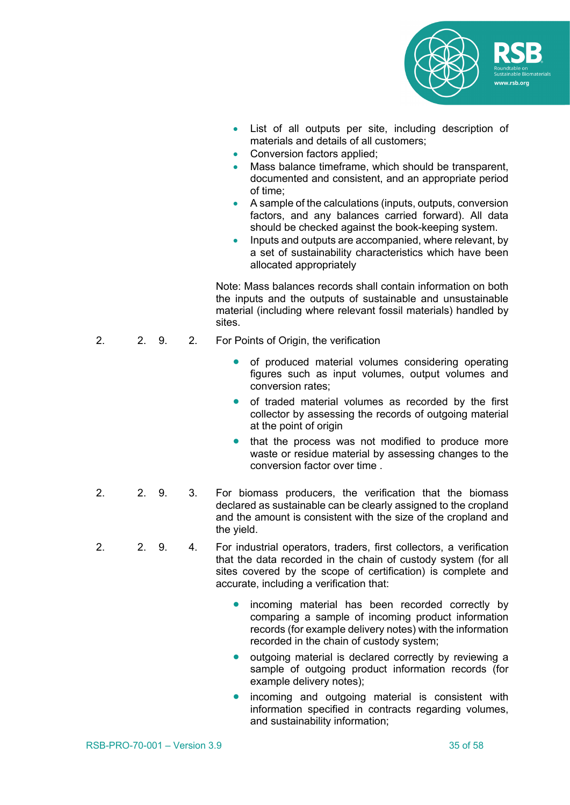

- List of all outputs per site, including description of materials and details of all customers;
- Conversion factors applied:
- Mass balance timeframe, which should be transparent, documented and consistent, and an appropriate period of time;
- A sample of the calculations (inputs, outputs, conversion factors, and any balances carried forward). All data should be checked against the book-keeping system.
- Inputs and outputs are accompanied, where relevant, by a set of sustainability characteristics which have been allocated appropriately

Note: Mass balances records shall contain information on both the inputs and the outputs of sustainable and unsustainable material (including where relevant fossil materials) handled by sites.

- 2. 2. 9. 2. For Points of Origin, the verification
	- of produced material volumes considering operating figures such as input volumes, output volumes and conversion rates;
	- of traded material volumes as recorded by the first collector by assessing the records of outgoing material at the point of origin
	- that the process was not modified to produce more waste or residue material by assessing changes to the conversion factor over time .
- 2. 2. 9. 3. For biomass producers, the verification that the biomass declared as sustainable can be clearly assigned to the cropland and the amount is consistent with the size of the cropland and the yield.
- 2. 2. 9. 4. For industrial operators, traders, first collectors, a verification that the data recorded in the chain of custody system (for all sites covered by the scope of certification) is complete and accurate, including a verification that:
	- incoming material has been recorded correctly by comparing a sample of incoming product information records (for example delivery notes) with the information recorded in the chain of custody system;
	- outgoing material is declared correctly by reviewing a sample of outgoing product information records (for example delivery notes);
	- incoming and outgoing material is consistent with information specified in contracts regarding volumes, and sustainability information;
- RSB-PRO-70-001 Version 3.9 35 of 58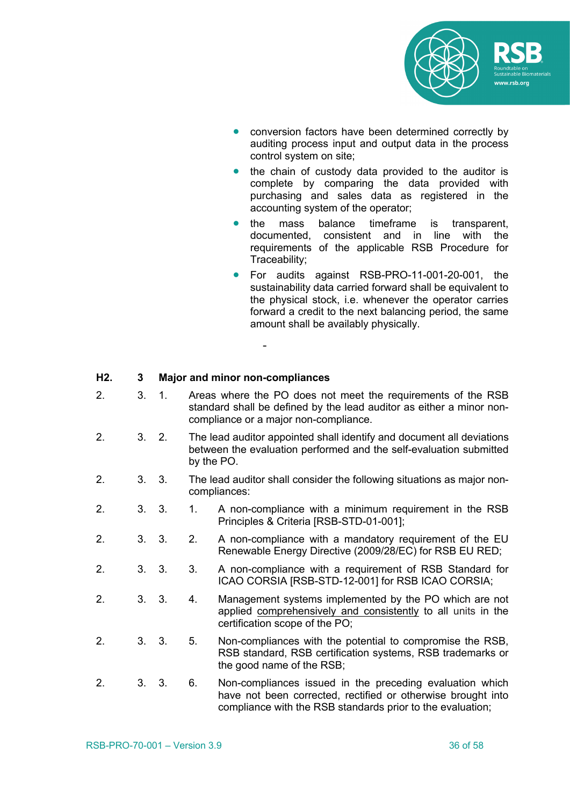

- conversion factors have been determined correctly by auditing process input and output data in the process control system on site;
- the chain of custody data provided to the auditor is complete by comparing the data provided with purchasing and sales data as registered in the accounting system of the operator;
- the mass balance timeframe is transparent, documented, consistent and in line with the requirements of the applicable RSB Procedure for Traceability;
- For audits against RSB-PRO-11-001-20-001, the sustainability data carried forward shall be equivalent to the physical stock, i.e. whenever the operator carries forward a credit to the next balancing period, the same amount shall be availably physically.

#### **H2. 3 Major and minor non-compliances**

2. 3. 1. Areas where the PO does not meet the requirements of the RSB standard shall be defined by the lead auditor as either a minor noncompliance or a major non-compliance.

-

- 2. 3. 2. The lead auditor appointed shall identify and document all deviations between the evaluation performed and the self-evaluation submitted by the PO.
- 2. 3. 3. The lead auditor shall consider the following situations as major noncompliances:
- 2. 3. 3. 1. A non-compliance with a minimum requirement in the RSB Principles & Criteria [RSB-STD-01-001];
- 2. 3. 3. 2. A non-compliance with a mandatory requirement of the EU Renewable Energy Directive (2009/28/EC) for RSB EU RED;
- 2. 3. 3. 3. A non-compliance with a requirement of RSB Standard for ICAO CORSIA [RSB-STD-12-001] for RSB ICAO CORSIA;
- 2. 3. 3. 4. Management systems implemented by the PO which are not applied comprehensively and consistently to all units in the certification scope of the PO;
- 2. 3. 3. 5. Non-compliances with the potential to compromise the RSB, RSB standard, RSB certification systems, RSB trademarks or the good name of the RSB;
- 2. 3. 3. 6. Non-compliances issued in the preceding evaluation which have not been corrected, rectified or otherwise brought into compliance with the RSB standards prior to the evaluation;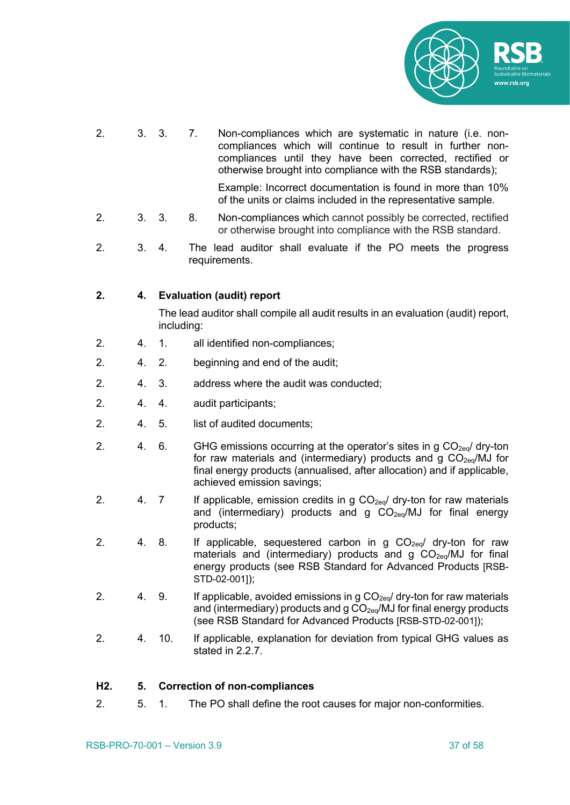

2. 3. 3. 7. Non-compliances which are systematic in nature (i.e. noncompliances which will continue to result in further noncompliances until they have been corrected, rectified or otherwise brought into compliance with the RSB standards);

Example: Incorrect documentation is found in more than 10% of the units or claims included in the representative sample.

- 2. 3. 3. 8. Non-compliances which cannot possibly be corrected, rectified or otherwise brought into compliance with the RSB standard.
- 2. 3. 4. The lead auditor shall evaluate if the PO meets the progress requirements.

#### **2. 4. Evaluation (audit) report**

The lead auditor shall compile all audit results in an evaluation (audit) report, including:

- 2. 4. 1. all identified non-compliances;
- 2. 4. 2. beginning and end of the audit;
- 2. 4. 3. address where the audit was conducted;
- 2. 4. 4. audit participants;
- 2. 4. 5. list of audited documents;
- 2. 4. 6. GHG emissions occurring at the operator's sites in g  $CO<sub>2eq</sub>$  dry-ton for raw materials and (intermediary) products and g  $CO<sub>2eq</sub>/MJ$  for final energy products (annualised, after allocation) and if applicable, achieved emission savings;
- 2. 4. 7 If applicable, emission credits in g  $CO<sub>2eq</sub>$  dry-ton for raw materials and (intermediary) products and  $g$  CO<sub>2eq</sub>/MJ for final energy products;
- 2. 4. 8. If applicable, sequestered carbon in g  $CO_{2eq}$  dry-ton for raw materials and (intermediary) products and  $g CO<sub>2eq</sub>/MJ$  for final energy products (see RSB Standard for Advanced Products [RSB-STD-02-001]);
- 2. 4. 9. If applicable, avoided emissions in g  $CO<sub>2eq</sub>$  dry-ton for raw materials and (intermediary) products and  $q CO<sub>2eq</sub>/MJ$  for final energy products (see RSB Standard for Advanced Products [RSB-STD-02-001]);
- 2. 4. 10. If applicable, explanation for deviation from typical GHG values as stated in 2.2.7.

#### **H2. 5. Correction of non-compliances**

2. 5. 1. The PO shall define the root causes for major non-conformities.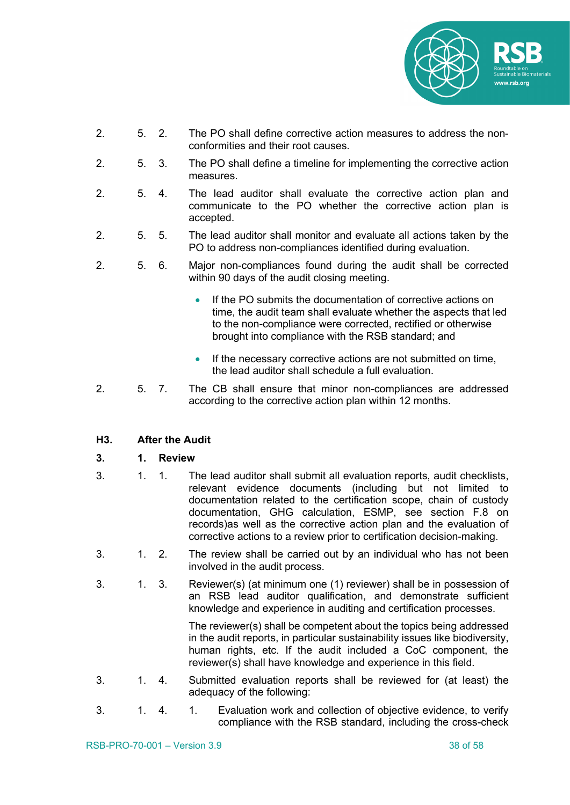

- 2. 5. 2. The PO shall define corrective action measures to address the nonconformities and their root causes.
- 2. 5. 3. The PO shall define a timeline for implementing the corrective action measures.
- 2. 5. 4. The lead auditor shall evaluate the corrective action plan and communicate to the PO whether the corrective action plan is accepted.
- 2. 5. 5. The lead auditor shall monitor and evaluate all actions taken by the PO to address non-compliances identified during evaluation.
- 2. 5. 6. Major non-compliances found during the audit shall be corrected within 90 days of the audit closing meeting.
	- If the PO submits the documentation of corrective actions on time, the audit team shall evaluate whether the aspects that led to the non-compliance were corrected, rectified or otherwise brought into compliance with the RSB standard; and
	- If the necessary corrective actions are not submitted on time, the lead auditor shall schedule a full evaluation.
- 2. 5. 7. The CB shall ensure that minor non-compliances are addressed according to the corrective action plan within 12 months.

#### **H3. After the Audit**

- **3. 1. Review**
- 3. 1. 1. The lead auditor shall submit all evaluation reports, audit checklists, relevant evidence documents (including but not limited to documentation related to the certification scope, chain of custody documentation, GHG calculation, ESMP, see section F.8 on records)as well as the corrective action plan and the evaluation of corrective actions to a review prior to certification decision-making.
- 3. 1. 2. The review shall be carried out by an individual who has not been involved in the audit process.
- 3. 1. 3. Reviewer(s) (at minimum one (1) reviewer) shall be in possession of an RSB lead auditor qualification, and demonstrate sufficient knowledge and experience in auditing and certification processes.

The reviewer(s) shall be competent about the topics being addressed in the audit reports, in particular sustainability issues like biodiversity, human rights, etc. If the audit included a CoC component, the reviewer(s) shall have knowledge and experience in this field*.*

- 3. 1. 4. Submitted evaluation reports shall be reviewed for (at least) the adequacy of the following:
- 3. 1. 4. 1. Evaluation work and collection of objective evidence, to verify compliance with the RSB standard, including the cross-check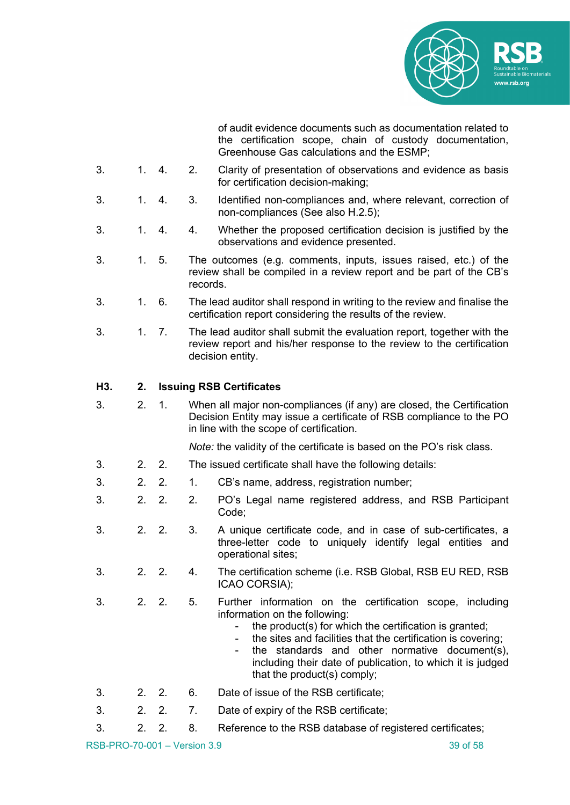

of audit evidence documents such as documentation related to the certification scope, chain of custody documentation, Greenhouse Gas calculations and the ESMP;

- 3. 1. 4. 2. Clarity of presentation of observations and evidence as basis for certification decision-making;
- 3. 1. 4. 3. Identified non-compliances and, where relevant, correction of non-compliances (See also H.2.5);
- 3. 1. 4. 4. Whether the proposed certification decision is justified by the observations and evidence presented.
- 3. 1. 5. The outcomes (e.g. comments, inputs, issues raised, etc.) of the review shall be compiled in a review report and be part of the CB's records.
- 3. 1. 6. The lead auditor shall respond in writing to the review and finalise the certification report considering the results of the review.
- 3. 1. 7. The lead auditor shall submit the evaluation report, together with the review report and his/her response to the review to the certification decision entity.

#### **H3. 2. Issuing RSB Certificates**

3. 2. 1. When all major non-compliances (if any) are closed, the Certification Decision Entity may issue a certificate of RSB compliance to the PO in line with the scope of certification.

*Note:* the validity of the certificate is based on the PO's risk class.

- 3. 2. 2. The issued certificate shall have the following details:
- 3. 2. 2. 1. CB's name, address, registration number;
- 3. 2. 2. 2. PO's Legal name registered address, and RSB Participant Code;
- 3. 2. 2. 3. A unique certificate code, and in case of sub-certificates, a three-letter code to uniquely identify legal entities and operational sites;
- 3. 2. 2. 4. The certification scheme (i.e. RSB Global, RSB EU RED, RSB ICAO CORSIA);
- 3. 2. 2. 5. Further information on the certification scope, including information on the following:
	- the product(s) for which the certification is granted;
	- the sites and facilities that the certification is covering:
	- the standards and other normative document(s), including their date of publication, to which it is judged that the product(s) comply;
- 3. 2. 2. 6. Date of issue of the RSB certificate;
- 3. 2. 2. 7. Date of expiry of the RSB certificate;
- 3. 2. 2. 8. Reference to the RSB database of registered certificates;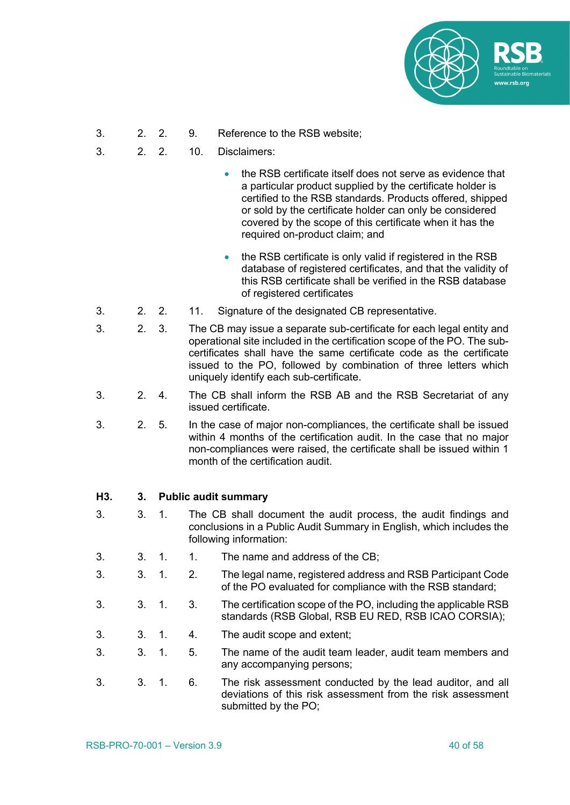

- 3. 2. 2. 9. Reference to the RSB website;
- 3. 2. 2. 10. Disclaimers:
	- the RSB certificate itself does not serve as evidence that a particular product supplied by the certificate holder is certified to the RSB standards. Products offered, shipped or sold by the certificate holder can only be considered covered by the scope of this certificate when it has the required on-product claim; and
	- the RSB certificate is only valid if registered in the RSB database of registered certificates, and that the validity of this RSB certificate shall be verified in the RSB database of registered certificates
- 3. 2. 2. 11. Signature of the designated CB representative.
- 3. 2. 3. The CB may issue a separate sub-certificate for each legal entity and operational site included in the certification scope of the PO. The subcertificates shall have the same certificate code as the certificate issued to the PO, followed by combination of three letters which uniquely identify each sub-certificate.
- 3. 2. 4. The CB shall inform the RSB AB and the RSB Secretariat of any issued certificate.
- 3. 2. 5. In the case of major non-compliances, the certificate shall be issued within 4 months of the certification audit. In the case that no major non-compliances were raised, the certificate shall be issued within 1 month of the certification audit.

#### **H3. 3. Public audit summary**

- 3. 3. 1. The CB shall document the audit process, the audit findings and conclusions in a Public Audit Summary in English, which includes the following information:
- 3. 3. 1. 1. The name and address of the CB;
- 3. 3. 1. 2. The legal name, registered address and RSB Participant Code of the PO evaluated for compliance with the RSB standard;
- 3. 3. 1. 3. The certification scope of the PO, including the applicable RSB standards (RSB Global, RSB EU RED, RSB ICAO CORSIA);
- 3. 3. 1. 4. The audit scope and extent;
- 3. 3. 1. 5. The name of the audit team leader, audit team members and any accompanying persons;
- 3. 3. 1. 6. The risk assessment conducted by the lead auditor, and all deviations of this risk assessment from the risk assessment submitted by the PO;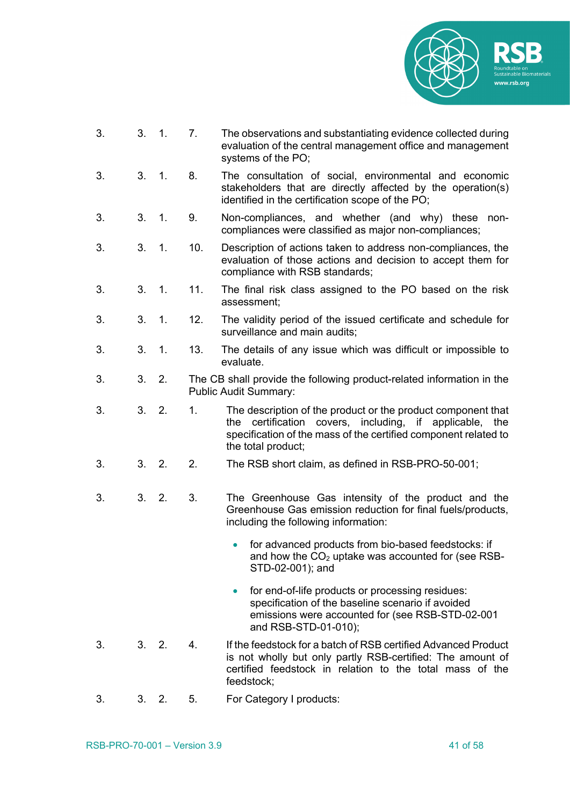

- 3. 3. 1. 7. The observations and substantiating evidence collected during evaluation of the central management office and management systems of the PO;
- 3. 3. 1. 8. The consultation of social, environmental and economic stakeholders that are directly affected by the operation(s) identified in the certification scope of the PO;
- 3. 3. 1. 9. Non-compliances, and whether (and why) these noncompliances were classified as major non-compliances;
- 3. 3. 1. 10. Description of actions taken to address non-compliances, the evaluation of those actions and decision to accept them for compliance with RSB standards;
- 3. 3. 1. 11. The final risk class assigned to the PO based on the risk assessment;
- 3. 3. 1. 12. The validity period of the issued certificate and schedule for surveillance and main audits;
- 3. 3. 1. 13. The details of any issue which was difficult or impossible to evaluate.
- 3. 3. 2. The CB shall provide the following product-related information in the Public Audit Summary:
- 3. 3. 2. 1. The description of the product or the product component that the certification covers, including, if applicable, the specification of the mass of the certified component related to the total product;
- 3. 3. 2. 2. The RSB short claim, as defined in RSB-PRO-50-001;
- 3. 3. 2. 3. The Greenhouse Gas intensity of the product and the Greenhouse Gas emission reduction for final fuels/products, including the following information:
	- for advanced products from bio-based feedstocks: if and how the  $CO<sub>2</sub>$  uptake was accounted for (see RSB-STD-02-001); and
	- for end-of-life products or processing residues: specification of the baseline scenario if avoided emissions were accounted for (see RSB-STD-02-001 and RSB-STD-01-010);
- 3. 3. 2. 4. If the feedstock for a batch of RSB certified Advanced Product is not wholly but only partly RSB-certified: The amount of certified feedstock in relation to the total mass of the feedstock;
- 3. 3. 2. 5. For Category I products: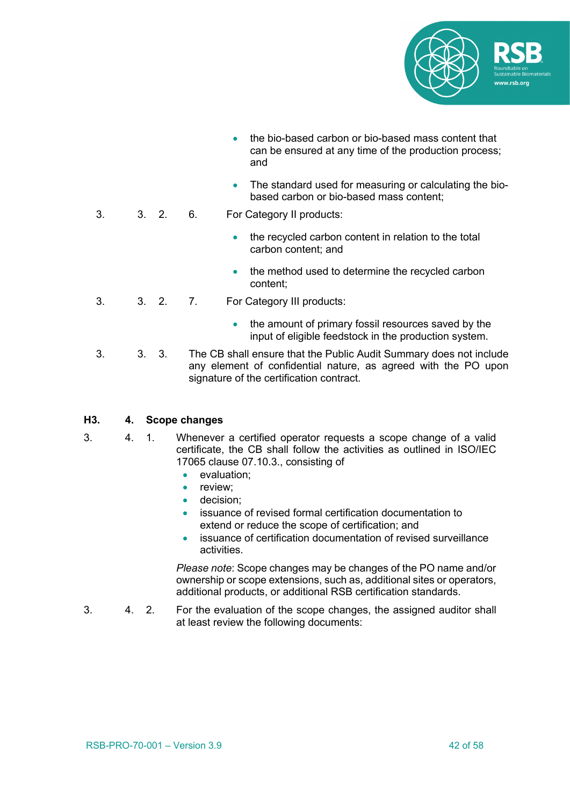

- the bio-based carbon or bio-based mass content that can be ensured at any time of the production process; and
- The standard used for measuring or calculating the biobased carbon or bio-based mass content;
- 3. 3. 2. 6. For Category II products:
	- the recycled carbon content in relation to the total carbon content; and
	- the method used to determine the recycled carbon content;
- 3. 3. 2. 7. For Category III products:
	- the amount of primary fossil resources saved by the input of eligible feedstock in the production system.
- 3. 3. 3. The CB shall ensure that the Public Audit Summary does not include any element of confidential nature, as agreed with the PO upon signature of the certification contract.

#### **H3. 4. Scope changes**

- 3. 4. 1. Whenever a certified operator requests a scope change of a valid certificate, the CB shall follow the activities as outlined in ISO/IEC 17065 clause 07.10.3., consisting of
	- evaluation;
	- review:
	- decision:
	- issuance of revised formal certification documentation to extend or reduce the scope of certification; and
	- issuance of certification documentation of revised surveillance activities.

*Please note*: Scope changes may be changes of the PO name and/or ownership or scope extensions, such as, additional sites or operators, additional products, or additional RSB certification standards.

3. 4. 2. For the evaluation of the scope changes, the assigned auditor shall at least review the following documents: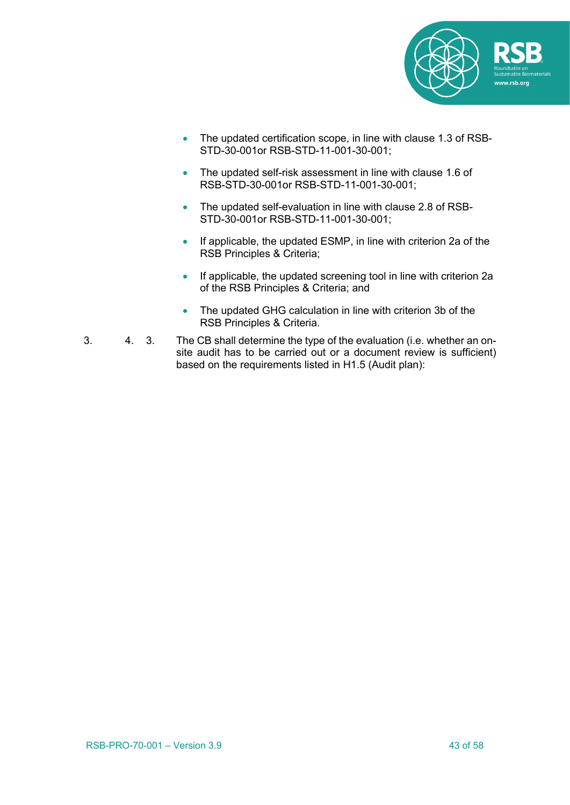

- The updated certification scope, in line with clause 1.3 of RSB-STD-30-001or RSB-STD-11-001-30-001;
- The updated self-risk assessment in line with clause 1.6 of RSB-STD-30-001or RSB-STD-11-001-30-001;
- The updated self-evaluation in line with clause 2.8 of RSB-STD-30-001or RSB-STD-11-001-30-001;
- If applicable, the updated ESMP, in line with criterion 2a of the RSB Principles & Criteria;
- If applicable, the updated screening tool in line with criterion 2a of the RSB Principles & Criteria; and
- The updated GHG calculation in line with criterion 3b of the RSB Principles & Criteria.
- 3. 4. 3. The CB shall determine the type of the evaluation (i.e. whether an onsite audit has to be carried out or a document review is sufficient) based on the requirements listed in H1.5 (Audit plan):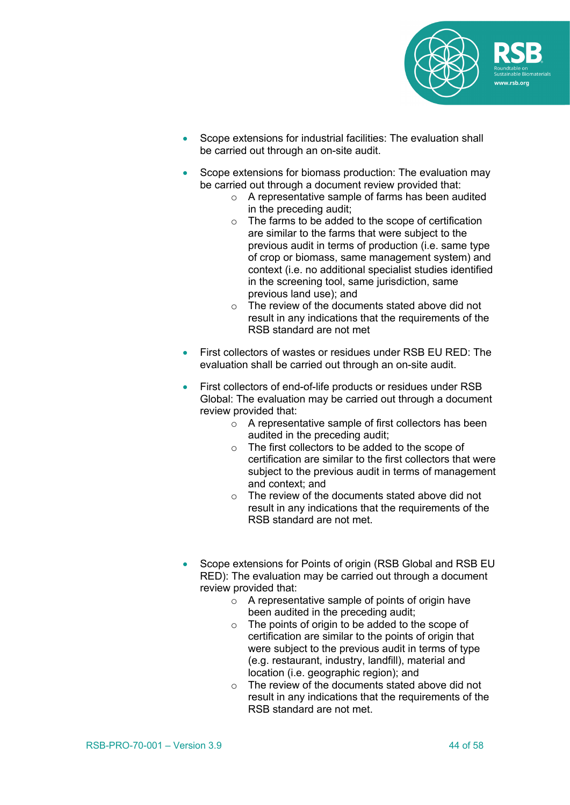

- Scope extensions for industrial facilities: The evaluation shall be carried out through an on-site audit.
- Scope extensions for biomass production: The evaluation may be carried out through a document review provided that:
	- o A representative sample of farms has been audited in the preceding audit;
	- o The farms to be added to the scope of certification are similar to the farms that were subject to the previous audit in terms of production (i.e. same type of crop or biomass, same management system) and context (i.e. no additional specialist studies identified in the screening tool, same jurisdiction, same previous land use); and
	- o The review of the documents stated above did not result in any indications that the requirements of the RSB standard are not met
- First collectors of wastes or residues under RSB EU RED: The evaluation shall be carried out through an on-site audit.
- First collectors of end-of-life products or residues under RSB Global: The evaluation may be carried out through a document review provided that:
	- o A representative sample of first collectors has been audited in the preceding audit;
	- o The first collectors to be added to the scope of certification are similar to the first collectors that were subject to the previous audit in terms of management and context; and
	- o The review of the documents stated above did not result in any indications that the requirements of the RSB standard are not met.
- Scope extensions for Points of origin (RSB Global and RSB EU RED): The evaluation may be carried out through a document review provided that:
	- o A representative sample of points of origin have been audited in the preceding audit;
	- o The points of origin to be added to the scope of certification are similar to the points of origin that were subject to the previous audit in terms of type (e.g. restaurant, industry, landfill), material and location (i.e. geographic region); and
	- o The review of the documents stated above did not result in any indications that the requirements of the RSB standard are not met.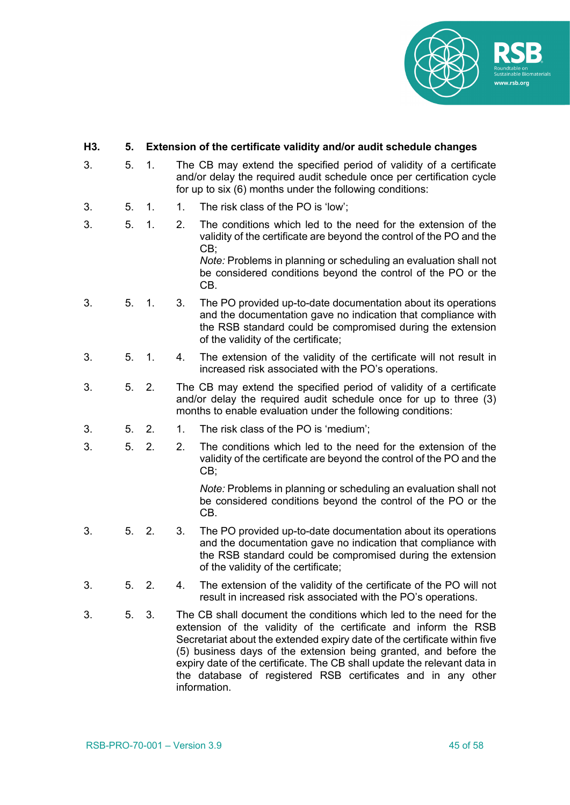

#### **H3. 5. Extension of the certificate validity and/or audit schedule changes**

- 3. 5. 1. The CB may extend the specified period of validity of a certificate and/or delay the required audit schedule once per certification cycle for up to six (6) months under the following conditions:
- 3. 5. 1. 1. The risk class of the PO is 'low';
- 3. 5. 1. 2. The conditions which led to the need for the extension of the validity of the certificate are beyond the control of the PO and the CB;

*Note:* Problems in planning or scheduling an evaluation shall not be considered conditions beyond the control of the PO or the CB.

- 3. 5. 1. 3. The PO provided up-to-date documentation about its operations and the documentation gave no indication that compliance with the RSB standard could be compromised during the extension of the validity of the certificate;
- 3. 5. 1. 4. The extension of the validity of the certificate will not result in increased risk associated with the PO's operations.
- 3. 5. 2. The CB may extend the specified period of validity of a certificate and/or delay the required audit schedule once for up to three (3) months to enable evaluation under the following conditions:
- 3. 5. 2. 1. The risk class of the PO is 'medium';
- 3. 5. 2. 2. The conditions which led to the need for the extension of the validity of the certificate are beyond the control of the PO and the CB;

*Note:* Problems in planning or scheduling an evaluation shall not be considered conditions beyond the control of the PO or the CB.

- 3. 5. 2. 3. The PO provided up-to-date documentation about its operations and the documentation gave no indication that compliance with the RSB standard could be compromised during the extension of the validity of the certificate;
- 3. 5. 2. 4. The extension of the validity of the certificate of the PO will not result in increased risk associated with the PO's operations.
- 3. 5. 3. The CB shall document the conditions which led to the need for the extension of the validity of the certificate and inform the RSB Secretariat about the extended expiry date of the certificate within five (5) business days of the extension being granted, and before the expiry date of the certificate. The CB shall update the relevant data in the database of registered RSB certificates and in any other information.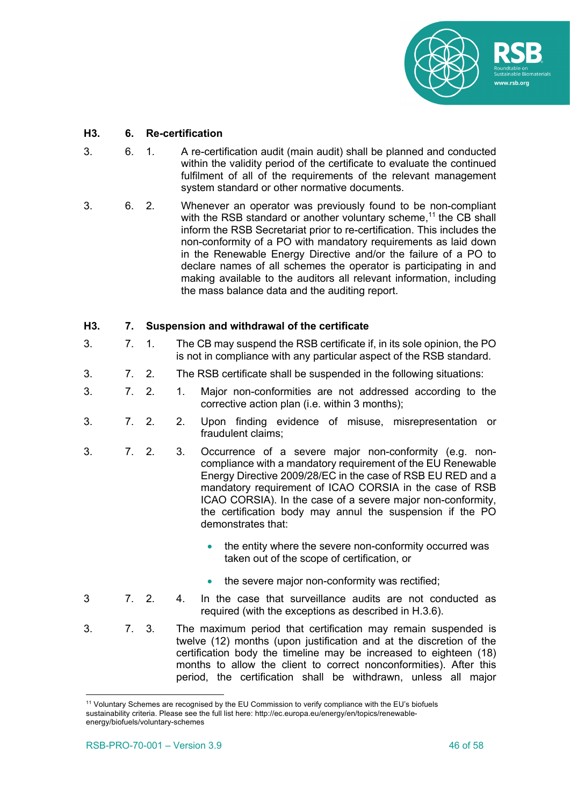

#### **H3. 6. Re-certification**

- 3. 6. 1. A re-certification audit (main audit) shall be planned and conducted within the validity period of the certificate to evaluate the continued fulfilment of all of the requirements of the relevant management system standard or other normative documents.
- 3. 6. 2. Whenever an operator was previously found to be non-compliant with the RSB standard or another voluntary scheme,<sup>11</sup> the CB shall inform the RSB Secretariat prior to re-certification. This includes the non-conformity of a PO with mandatory requirements as laid down in the Renewable Energy Directive and/or the failure of a PO to declare names of all schemes the operator is participating in and making available to the auditors all relevant information, including the mass balance data and the auditing report.

#### **H3. 7. Suspension and withdrawal of the certificate**

- 3. 7. 1. The CB may suspend the RSB certificate if, in its sole opinion, the PO is not in compliance with any particular aspect of the RSB standard.
- 3. 7. 2. The RSB certificate shall be suspended in the following situations:
- 3. 7. 2. 1. Major non-conformities are not addressed according to the corrective action plan (i.e. within 3 months);
- 3. 7. 2. 2. Upon finding evidence of misuse, misrepresentation or fraudulent claims;
- 3. 7. 2. 3. Occurrence of a severe major non-conformity (e.g. noncompliance with a mandatory requirement of the EU Renewable Energy Directive 2009/28/EC in the case of RSB EU RED and a mandatory requirement of ICAO CORSIA in the case of RSB ICAO CORSIA). In the case of a severe major non-conformity, the certification body may annul the suspension if the PO demonstrates that:
	- the entity where the severe non-conformity occurred was taken out of the scope of certification, or
	- the severe major non-conformity was rectified;
- 3 7. 2. 4. In the case that surveillance audits are not conducted as required (with the exceptions as described in H.3.6).
- 3. 7. 3. The maximum period that certification may remain suspended is twelve (12) months (upon justification and at the discretion of the certification body the timeline may be increased to eighteen (18) months to allow the client to correct nonconformities). After this period, the certification shall be withdrawn, unless all major

<sup>11</sup> Voluntary Schemes are recognised by the EU Commission to verify compliance with the EU's biofuels sustainability criteria. Please see the full list here: http://ec.europa.eu/energy/en/topics/renewableenergy/biofuels/voluntary-schemes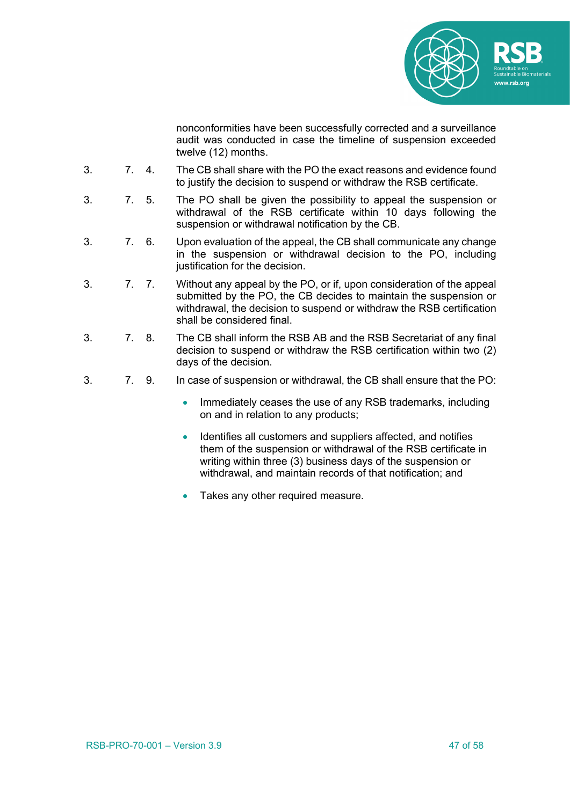

nonconformities have been successfully corrected and a surveillance audit was conducted in case the timeline of suspension exceeded twelve (12) months.

- 3. 7. 4. The CB shall share with the PO the exact reasons and evidence found to justify the decision to suspend or withdraw the RSB certificate.
- 3. 7. 5. The PO shall be given the possibility to appeal the suspension or withdrawal of the RSB certificate within 10 days following the suspension or withdrawal notification by the CB.
- 3. 7. 6. Upon evaluation of the appeal, the CB shall communicate any change in the suspension or withdrawal decision to the PO, including justification for the decision.
- 3. 7. 7. Without any appeal by the PO, or if, upon consideration of the appeal submitted by the PO, the CB decides to maintain the suspension or withdrawal, the decision to suspend or withdraw the RSB certification shall be considered final.
- 3. 7. 8. The CB shall inform the RSB AB and the RSB Secretariat of any final decision to suspend or withdraw the RSB certification within two (2) days of the decision.
- 3. 7. 9. In case of suspension or withdrawal, the CB shall ensure that the PO:
	- Immediately ceases the use of any RSB trademarks, including on and in relation to any products;
	- Identifies all customers and suppliers affected, and notifies them of the suspension or withdrawal of the RSB certificate in writing within three (3) business days of the suspension or withdrawal, and maintain records of that notification; and
	- Takes any other required measure.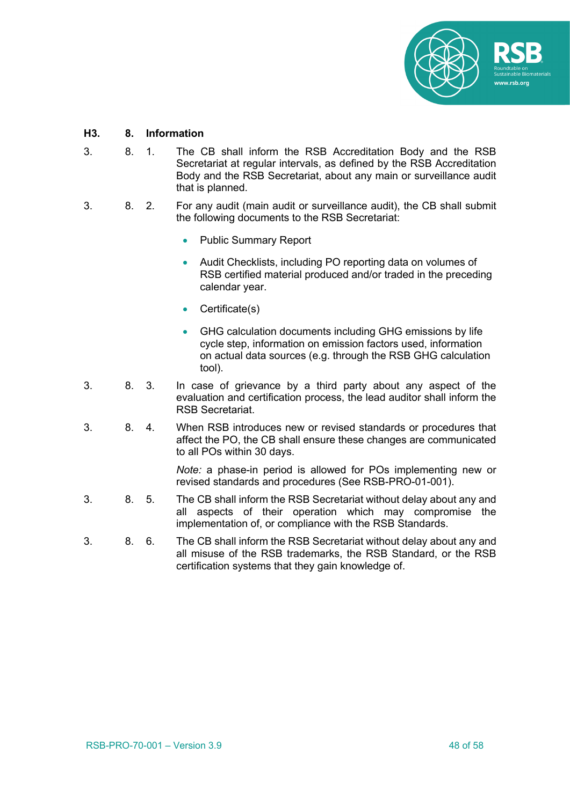

#### **H3. 8. Information**

- 3. 8. 1. The CB shall inform the RSB Accreditation Body and the RSB Secretariat at regular intervals, as defined by the RSB Accreditation Body and the RSB Secretariat, about any main or surveillance audit that is planned.
- 3. 8. 2. For any audit (main audit or surveillance audit), the CB shall submit the following documents to the RSB Secretariat:
	- Public Summary Report
	- Audit Checklists, including PO reporting data on volumes of RSB certified material produced and/or traded in the preceding calendar year.
	- Certificate(s)
	- GHG calculation documents including GHG emissions by life cycle step, information on emission factors used, information on actual data sources (e.g. through the RSB GHG calculation tool).
- 3. 8. 3. In case of grievance by a third party about any aspect of the evaluation and certification process, the lead auditor shall inform the RSB Secretariat.
- 3. 8. 4. When RSB introduces new or revised standards or procedures that affect the PO, the CB shall ensure these changes are communicated to all POs within 30 days.

*Note:* a phase-in period is allowed for POs implementing new or revised standards and procedures (See RSB-PRO-01-001).

- 3. 8. 5. The CB shall inform the RSB Secretariat without delay about any and all aspects of their operation which may compromise the implementation of, or compliance with the RSB Standards.
- 3. 8. 6. The CB shall inform the RSB Secretariat without delay about any and all misuse of the RSB trademarks, the RSB Standard, or the RSB certification systems that they gain knowledge of.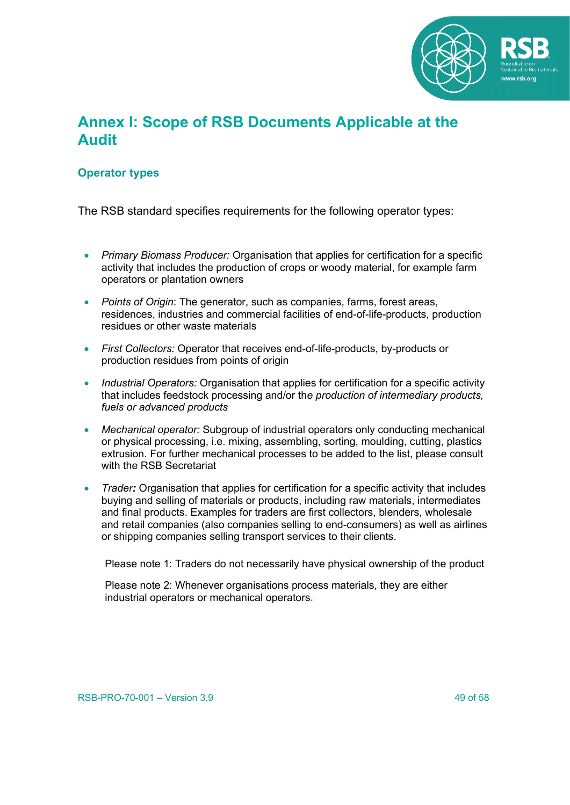

## **Annex I: Scope of RSB Documents Applicable at the Audit**

### **Operator types**

The RSB standard specifies requirements for the following operator types:

- *Primary Biomass Producer:* Organisation that applies for certification for a specific activity that includes the production of crops or woody material, for example farm operators or plantation owners
- *Points of Origin*: The generator, such as companies, farms, forest areas, residences, industries and commercial facilities of end-of-life-products, production residues or other waste materials
- *First Collectors:* Operator that receives end-of-life-products, by-products or production residues from points of origin
- *Industrial Operators:* Organisation that applies for certification for a specific activity that includes feedstock processing and/or th*e production of intermediary products, fuels or advanced products*
- *Mechanical operator:* Subgroup of industrial operators only conducting mechanical or physical processing, i.e. mixing, assembling, sorting, moulding, cutting, plastics extrusion. For further mechanical processes to be added to the list, please consult with the RSB Secretariat
- *Trader:* Organisation that applies for certification for a specific activity that includes buying and selling of materials or products, including raw materials, intermediates and final products. Examples for traders are first collectors, blenders, wholesale and retail companies (also companies selling to end-consumers) as well as airlines or shipping companies selling transport services to their clients.

Please note 1: Traders do not necessarily have physical ownership of the product

Please note 2: Whenever organisations process materials, they are either industrial operators or mechanical operators*.*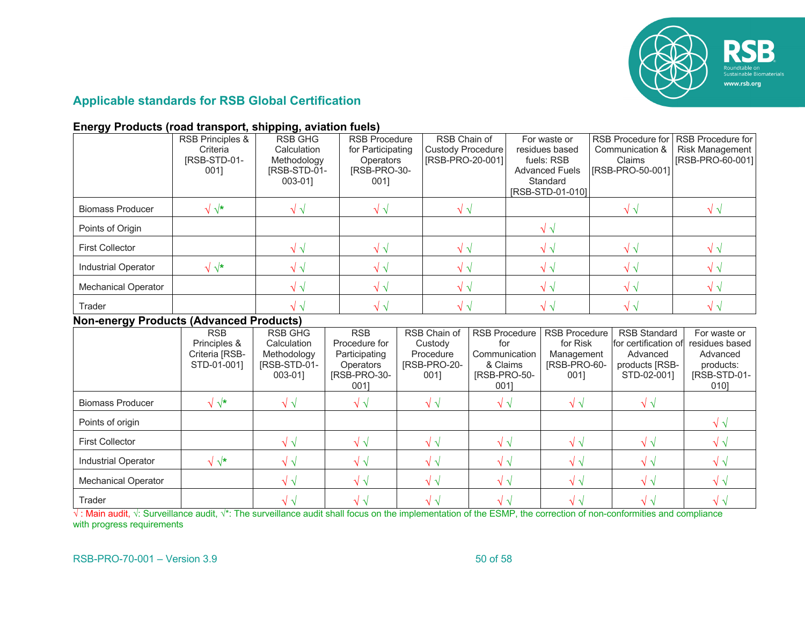

### **Applicable standards for RSB Global Certification**

#### **Energy Products (road transport, shipping, aviation fuels)**

|                                                | RSB Principles &<br>Criteria<br>IRSB-STD-01-<br>001]        | <b>RSB GHG</b><br>Calculation<br>Methodology<br>[RSB-STD-01-<br>003-01] | 001]                                                                                     | <b>RSB Procedure</b><br>for Participating<br><b>Operators</b><br>[RSB-PRO-30- |                                                              | RSB Chain of<br><b>Custody Procedure</b><br>[RSB-PRO-20-001]                     |  | For waste or<br>residues based<br>fuels: RSB<br><b>Advanced Fuels</b><br>Standard<br>[RSB-STD-01-010] |  | <b>RSB Procedure for</b><br>Communication &<br>Claims<br>[RSB-PRO-50-001]                | <b>RSB Procedure for</b><br><b>Risk Management</b><br>[RSB-PRO-60-001]          |
|------------------------------------------------|-------------------------------------------------------------|-------------------------------------------------------------------------|------------------------------------------------------------------------------------------|-------------------------------------------------------------------------------|--------------------------------------------------------------|----------------------------------------------------------------------------------|--|-------------------------------------------------------------------------------------------------------|--|------------------------------------------------------------------------------------------|---------------------------------------------------------------------------------|
| <b>Biomass Producer</b>                        | $\sqrt{\sqrt{\star}}$                                       | $\sqrt{\sqrt{2}}$                                                       | $\sqrt{\sqrt{2}}$                                                                        |                                                                               |                                                              | $\sqrt{\sqrt{2}}$                                                                |  |                                                                                                       |  | $\sqrt{\sqrt{2}}$                                                                        | $\sqrt{\sqrt{2}}$                                                               |
| Points of Origin                               |                                                             |                                                                         |                                                                                          |                                                                               |                                                              |                                                                                  |  | $\sqrt{\sqrt{2}}$                                                                                     |  |                                                                                          |                                                                                 |
| <b>First Collector</b>                         |                                                             | $\sqrt{\sqrt{2}}$                                                       | $\sqrt{\sqrt{2}}$                                                                        |                                                                               | $\sqrt{\sqrt{2}}$                                            |                                                                                  |  | $\sqrt{\sqrt{2}}$                                                                                     |  | $\sqrt{\sqrt{2}}$                                                                        | $\sqrt{\sqrt{2}}$                                                               |
| <b>Industrial Operator</b>                     | $\sqrt{\sqrt{\star}}$                                       | $\sqrt{\sqrt{2}}$                                                       | $\sqrt{\sqrt{2}}$                                                                        |                                                                               | $\sqrt{\sqrt{2}}$                                            |                                                                                  |  | $\sqrt{\sqrt{2}}$                                                                                     |  | $\sqrt{\sqrt{2}}$                                                                        | $\sqrt{\sqrt{2}}$                                                               |
| <b>Mechanical Operator</b>                     |                                                             | $\sqrt{\sqrt{2}}$                                                       | $\sqrt{\sqrt{2}}$                                                                        |                                                                               | $\sqrt{\sqrt{2}}$                                            |                                                                                  |  | $\sqrt{\sqrt{2}}$                                                                                     |  | $\sqrt{\sqrt{2}}$                                                                        | $\sqrt{\sqrt{2}}$                                                               |
| Trader                                         |                                                             | $\sqrt{\sqrt{2}}$                                                       | $\sqrt{\sqrt{2}}$                                                                        |                                                                               |                                                              | $\sqrt{\sqrt{2}}$                                                                |  | $\sqrt{\sqrt{2}}$                                                                                     |  | $\sqrt{\sqrt{2}}$                                                                        | $\sqrt{\sqrt{2}}$                                                               |
| <b>Non-energy Products (Advanced Products)</b> |                                                             |                                                                         |                                                                                          |                                                                               |                                                              |                                                                                  |  |                                                                                                       |  |                                                                                          |                                                                                 |
|                                                | <b>RSB</b><br>Principles &<br>Criteria [RSB-<br>STD-01-0011 | <b>RSB GHG</b><br>Calculation<br>Methodology<br>[RSB-STD-01-<br>003-011 | <b>RSB</b><br>Procedure for<br>Participating<br><b>Operators</b><br>[RSB-PRO-30-<br>0011 |                                                                               | RSB Chain of<br>Custody<br>Procedure<br>[RSB-PRO-20-<br>0011 | <b>RSB Procedure</b><br>for<br>Communication<br>& Claims<br>[RSB-PRO-50-<br>0011 |  | <b>RSB Procedure</b><br>for Risk<br>Management<br>[RSB-PRO-60-<br>0011                                |  | <b>RSB Standard</b><br>for certification of<br>Advanced<br>products [RSB-<br>STD-02-001] | For waste or<br>residues based<br>Advanced<br>products:<br>[RSB-STD-01-<br>0101 |
| <b>Biomass Producer</b>                        | $\sqrt{\sqrt{\star}}$                                       | $\sqrt{\sqrt{2}}$                                                       | $\sqrt{\sqrt{2}}$                                                                        |                                                                               | $\sqrt{\sqrt{2}}$                                            | $\sqrt{\sqrt{2}}$                                                                |  | $\sqrt{\sqrt{2}}$                                                                                     |  | $\sqrt{\sqrt{2}}$                                                                        |                                                                                 |
| Points of origin                               |                                                             |                                                                         |                                                                                          |                                                                               |                                                              |                                                                                  |  |                                                                                                       |  |                                                                                          | $\sqrt{\sqrt{2}}$                                                               |
| <b>First Collector</b>                         |                                                             | $\sqrt{\sqrt{2}}$                                                       | $\sqrt{\sqrt{2}}$                                                                        |                                                                               | $\sqrt{\sqrt{2}}$                                            | $\sqrt{\sqrt{2}}$                                                                |  | $\sqrt{\sqrt{2}}$                                                                                     |  | $\sqrt{\sqrt{2}}$                                                                        | $\sqrt{\sqrt{2}}$                                                               |
| <b>Industrial Operator</b>                     | $\sqrt{\sqrt{\star}}$                                       | $\sqrt{\sqrt{2}}$                                                       | $\sqrt{\sqrt{2}}$                                                                        | $\sqrt{\sqrt{2}}$                                                             |                                                              | $\sqrt{\sqrt{2}}$                                                                |  | $\sqrt{\sqrt{2}}$                                                                                     |  | $\sqrt{\sqrt{2}}$                                                                        | $\sqrt{\sqrt{2}}$                                                               |
| <b>Mechanical Operator</b>                     |                                                             | $\sqrt{\sqrt{2}}$                                                       | $\sqrt{\sqrt{2}}$                                                                        |                                                                               | $\sqrt{\sqrt{2}}$                                            | $\sqrt{\sqrt{2}}$                                                                |  | $\sqrt{\sqrt{2}}$                                                                                     |  | $\sqrt{\sqrt{2}}$                                                                        | $\sqrt{\sqrt{2}}$                                                               |
| Trader                                         |                                                             | $\sqrt{\sqrt{2}}$                                                       | $\sqrt{\sqrt{2}}$                                                                        |                                                                               | $\sqrt{\sqrt{2}}$                                            | $\sqrt{\sqrt{2}}$                                                                |  | $\sqrt{\sqrt{2}}$                                                                                     |  | $\sqrt{\sqrt{2}}$                                                                        | $\sqrt{\sqrt{2}}$                                                               |

√: Main audit,  $\sqrt{\cdot}$ : Surveillance audit,  $\sqrt{\cdot}$ : The surveillance audit shall focus on the implementation of the ESMP, the correction of non-conformities and compliance with progress requirements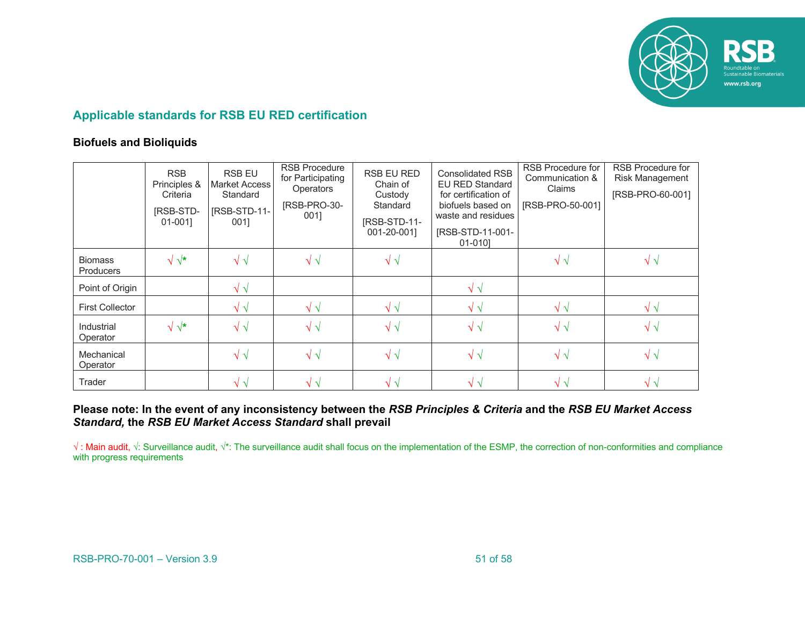

### **Applicable standards for RSB EU RED certification**

#### **Biofuels and Bioliquids**

|                                    | <b>RSB</b><br>Principles &<br>Criteria<br>[RSB-STD-<br>01-0011 | <b>RSB EU</b><br>Market Access<br>Standard<br>[RSB-STD-11-<br>0011 | <b>RSB Procedure</b><br>for Participating<br><b>Operators</b><br>[RSB-PRO-30-<br>001] | RSB EU RED<br>Chain of<br>Custody<br>Standard<br>[RSB-STD-11-<br>001-20-001] | <b>Consolidated RSB</b><br><b>EU RED Standard</b><br>for certification of<br>biofuels based on<br>waste and residues<br>[RSB-STD-11-001-<br>01-0101 | RSB Procedure for<br>Communication &<br>Claims<br>[RSB-PRO-50-001] | <b>RSB Procedure for</b><br>Risk Management<br>[RSB-PRO-60-001] |
|------------------------------------|----------------------------------------------------------------|--------------------------------------------------------------------|---------------------------------------------------------------------------------------|------------------------------------------------------------------------------|-----------------------------------------------------------------------------------------------------------------------------------------------------|--------------------------------------------------------------------|-----------------------------------------------------------------|
| <b>Biomass</b><br><b>Producers</b> | $\sqrt{\sqrt{\star}}$                                          | $\sqrt{\sqrt{2}}$                                                  | $\sqrt{\sqrt{2}}$                                                                     | $\sqrt{\sqrt{2}}$                                                            |                                                                                                                                                     | $\sqrt{\sqrt{2}}$                                                  | $\sqrt{V}$                                                      |
| Point of Origin                    |                                                                | $\sqrt{\sqrt{2}}$                                                  |                                                                                       |                                                                              | $\sqrt{\sqrt{2}}$                                                                                                                                   |                                                                    |                                                                 |
| <b>First Collector</b>             |                                                                | $\sqrt{\sqrt{2}}$                                                  | $\sqrt{\sqrt{2}}$                                                                     | $\sqrt{\sqrt{2}}$                                                            | $\sqrt{2}$                                                                                                                                          | $\sqrt{v}$                                                         | $\sqrt{\sqrt{}}$                                                |
| Industrial<br>Operator             | $\sqrt{\sqrt{\star}}$                                          | $\sqrt{\sqrt{2}}$                                                  | $\sqrt{\sqrt{2}}$                                                                     | $\sqrt{\sqrt{2}}$                                                            | $\sqrt{\sqrt{2}}$                                                                                                                                   | $\sqrt{\sqrt{2}}$                                                  | $\sqrt{\sqrt{2}}$                                               |
| Mechanical<br>Operator             |                                                                | $\sqrt{v}$                                                         | $\sqrt{\sqrt{2}}$                                                                     | $\sqrt{\sqrt{2}}$                                                            | $\sqrt{2}$                                                                                                                                          | $\sqrt{\sqrt{2}}$                                                  | $\sqrt{\sqrt{2}}$                                               |
| Trader                             |                                                                | $\sqrt{V}$                                                         | $\sqrt{2}$                                                                            | $\sqrt{\sqrt{2}}$                                                            | $\sqrt{2}$                                                                                                                                          | $\sqrt{\sqrt{}}$                                                   | $\sqrt{2}$                                                      |

#### **Please note: In the event of any inconsistency between the** *RSB Principles & Criteria* **and the** *RSB EU Market Access Standard,* **the** *RSB EU Market Access Standard* **shall prevail**

√ : Main audit,  $\sqrt{\cdot}$ : Surveillance audit,  $\sqrt{\cdot}$ : The surveillance audit shall focus on the implementation of the ESMP, the correction of non-conformities and compliance with progress requirements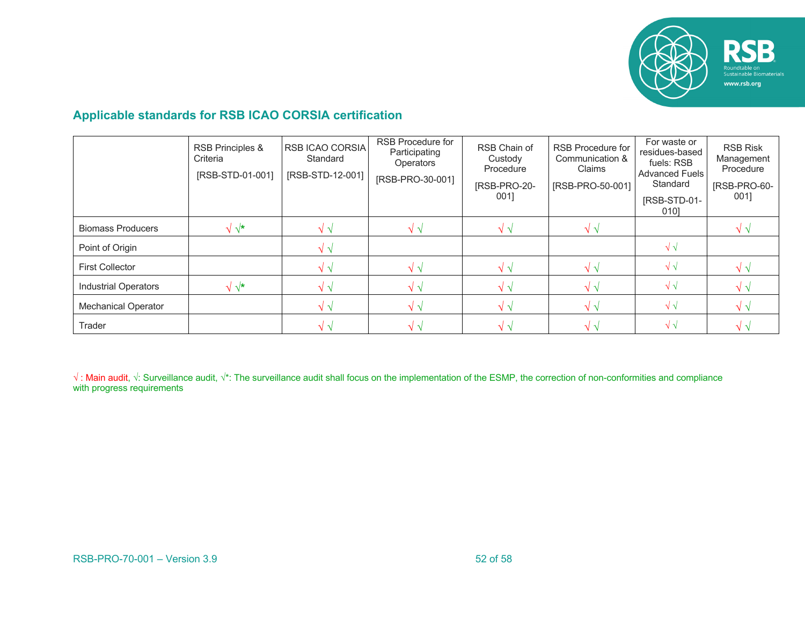

### **Applicable standards for RSB ICAO CORSIA certification**

|                             | RSB Principles &<br>Criteria<br>[RSB-STD-01-001] | RSB ICAO CORSIA<br>Standard<br>[RSB-STD-12-001] | RSB Procedure for<br>Participating<br><b>Operators</b><br>[RSB-PRO-30-001] | RSB Chain of<br>Custody<br>Procedure<br>[RSB-PRO-20-<br>0011 | RSB Procedure for<br>Communication &<br>Claims<br>[RSB-PRO-50-001] | For waste or<br>residues-based<br>fuels: RSB<br><b>Advanced Fuels</b><br>Standard<br>[RSB-STD-01-<br>0101 | <b>RSB Risk</b><br>Management<br>Procedure<br>[RSB-PRO-60-<br>001] |
|-----------------------------|--------------------------------------------------|-------------------------------------------------|----------------------------------------------------------------------------|--------------------------------------------------------------|--------------------------------------------------------------------|-----------------------------------------------------------------------------------------------------------|--------------------------------------------------------------------|
| <b>Biomass Producers</b>    | $\sqrt{x}$                                       | V 1                                             | $\sqrt{v}$                                                                 | $\sqrt{1}$                                                   |                                                                    |                                                                                                           |                                                                    |
| Point of Origin             |                                                  | $\sqrt{V}$                                      |                                                                            |                                                              |                                                                    | $\sqrt{\sqrt{2}}$                                                                                         |                                                                    |
| <b>First Collector</b>      |                                                  | $\sqrt{1}$                                      | $\sqrt{\sqrt{2}}$                                                          | $\sqrt{\sqrt{}}$                                             | $\sqrt{2}$                                                         | $\sqrt{\sqrt{2}}$                                                                                         |                                                                    |
| <b>Industrial Operators</b> | $\sqrt{\star}$                                   | V 1                                             | $\sqrt{v}$                                                                 |                                                              |                                                                    | $\sqrt{\sqrt{2}}$                                                                                         |                                                                    |
| <b>Mechanical Operator</b>  |                                                  | $\sqrt{\sqrt{2}}$                               | $\sqrt{\sqrt{2}}$                                                          | $\sqrt{\sqrt{2}}$                                            | $\sqrt{v}$                                                         | $\sqrt{\sqrt{2}}$                                                                                         |                                                                    |
| Trader                      |                                                  | $\sqrt{2}$                                      | $\sqrt{\sqrt{2}}$                                                          | $\sqrt{V}$                                                   | $\sqrt{2}$                                                         | $\sqrt{2}$                                                                                                |                                                                    |

√: Main audit, √: Surveillance audit, √\*: The surveillance audit shall focus on the implementation of the ESMP, the correction of non-conformities and compliance with progress requirements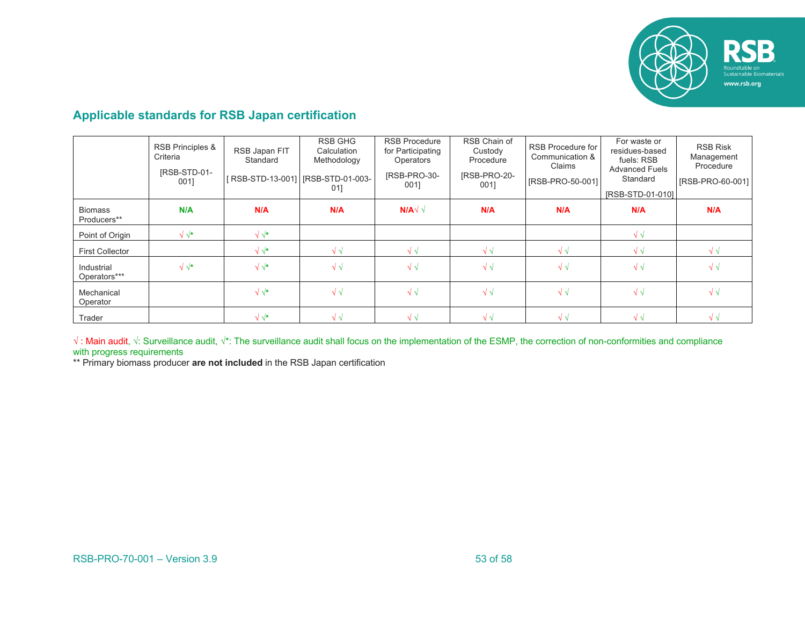

### **Applicable standards for RSB Japan certification**

|                               | <b>RSB Principles &amp;</b><br>Criteria<br>IRSB-STD-01-<br>001] | RSB Japan FIT<br>Standard<br>[RSB-STD-13-001] [RSB-STD-01-003- | RSB GHG<br>Calculation<br>Methodology<br>01] | <b>RSB Procedure</b><br>for Participating<br><b>Operators</b><br>IRSB-PRO-30-<br>001] | RSB Chain of<br>Custody<br>Procedure<br>IRSB-PRO-20-<br>001] | RSB Procedure for<br>Communication &<br>Claims<br>[RSB-PRO-50-001] | For waste or<br>residues-based<br>fuels: RSB<br><b>Advanced Fuels</b><br>Standard<br>[RSB-STD-01-010] | <b>RSB Risk</b><br>Management<br>Procedure<br>[RSB-PRO-60-001] |
|-------------------------------|-----------------------------------------------------------------|----------------------------------------------------------------|----------------------------------------------|---------------------------------------------------------------------------------------|--------------------------------------------------------------|--------------------------------------------------------------------|-------------------------------------------------------------------------------------------------------|----------------------------------------------------------------|
| <b>Biomass</b><br>Producers** | N/A                                                             | N/A                                                            | N/A                                          | $N/A\sqrt{2}$                                                                         | N/A                                                          | N/A                                                                | N/A                                                                                                   | N/A                                                            |
| Point of Origin               | $\sqrt{\sqrt{\star}}$                                           | $\sqrt{\sqrt{\star}}$                                          |                                              |                                                                                       |                                                              |                                                                    | $\sqrt{\sqrt{2}}$                                                                                     |                                                                |
| <b>First Collector</b>        |                                                                 | $\sqrt{\sqrt{\star}}$                                          | $\sqrt{1}$                                   | $\sqrt{\sqrt{2}}$                                                                     | $\sqrt{\sqrt{2}}$                                            | $\sqrt{\sqrt{2}}$                                                  | $\sqrt{\sqrt{2}}$                                                                                     | $\sqrt{\sqrt{2}}$                                              |
| Industrial<br>Operators***    | $\sqrt{\sqrt{\star}}$                                           | $\sqrt{\sqrt{\star}}$                                          | $\sqrt{\sqrt{2}}$                            | $\sqrt{\sqrt{2}}$                                                                     | $\sqrt{\sqrt{2}}$                                            | $\sqrt{\sqrt{2}}$                                                  | $\sqrt{\sqrt{2}}$                                                                                     | $\sqrt{\sqrt{2}}$                                              |
| Mechanical<br>Operator        |                                                                 | $\sqrt{\sqrt{\star}}$                                          | $\sqrt{\sqrt{2}}$                            | $\sqrt{\sqrt{2}}$                                                                     | $\sqrt{\sqrt{2}}$                                            | $\sqrt{\sqrt{2}}$                                                  | $\sqrt{\sqrt{2}}$                                                                                     | $\sqrt{\sqrt{2}}$                                              |
| Trader                        |                                                                 | $\sqrt{\sqrt{\star}}$                                          | $\sqrt{\sqrt{}}$                             | $\sqrt{\sqrt{2}}$                                                                     | $\sqrt{\sqrt{2}}$                                            | $\sqrt{\sqrt{2}}$                                                  | $\sqrt{\sqrt{2}}$                                                                                     | $\sqrt{\sqrt{2}}$                                              |

√ : Main audit, √: Surveillance audit, √\*: The surveillance audit shall focus on the implementation of the ESMP, the correction of non-conformities and compliance with progress requirements

\*\* Primary biomass producer **are not included** in the RSB Japan certification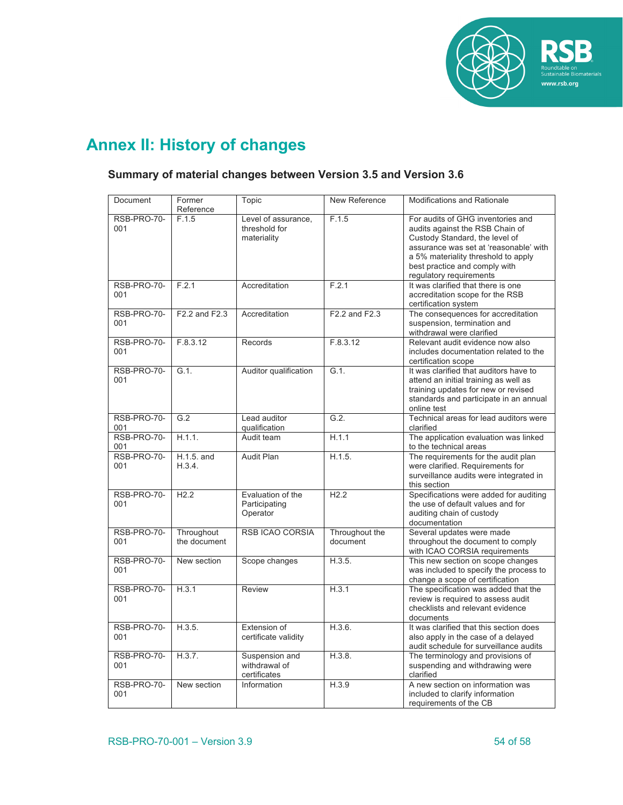

# **Annex II: History of changes**

### **Summary of material changes between Version 3.5 and Version 3.6**

| Document           | Former<br>Reference        | Topic                                               | New Reference              | <b>Modifications and Rationale</b>                                                                                                                                                                                                                  |
|--------------------|----------------------------|-----------------------------------------------------|----------------------------|-----------------------------------------------------------------------------------------------------------------------------------------------------------------------------------------------------------------------------------------------------|
| RSB-PRO-70-<br>001 | F.1.5                      | Level of assurance,<br>threshold for<br>materiality | F.1.5                      | For audits of GHG inventories and<br>audits against the RSB Chain of<br>Custody Standard, the level of<br>assurance was set at 'reasonable' with<br>a 5% materiality threshold to apply<br>best practice and comply with<br>regulatory requirements |
| RSB-PRO-70-<br>001 | F.2.1                      | Accreditation                                       | F.2.1                      | It was clarified that there is one<br>accreditation scope for the RSB<br>certification system                                                                                                                                                       |
| RSB-PRO-70-<br>001 | F2.2 and F2.3              | Accreditation                                       | F2.2 and F2.3              | The consequences for accreditation<br>suspension, termination and<br>withdrawal were clarified                                                                                                                                                      |
| RSB-PRO-70-<br>001 | F.8.3.12                   | Records                                             | F.8.3.12                   | Relevant audit evidence now also<br>includes documentation related to the<br>certification scope                                                                                                                                                    |
| RSB-PRO-70-<br>001 | G.1.                       | Auditor qualification                               | $G.1$ .                    | It was clarified that auditors have to<br>attend an initial training as well as<br>training updates for new or revised<br>standards and participate in an annual<br>online test                                                                     |
| RSB-PRO-70-<br>001 | G.2                        | Lead auditor<br>qualification                       | G.2.                       | Technical areas for lead auditors were<br>clarified                                                                                                                                                                                                 |
| RSB-PRO-70-<br>001 | H.1.1.                     | Audit team                                          | H.1.1                      | The application evaluation was linked<br>to the technical areas                                                                                                                                                                                     |
| RSB-PRO-70-<br>001 | $H.1.5.$ and<br>H.3.4.     | <b>Audit Plan</b>                                   | H.1.5.                     | The requirements for the audit plan<br>were clarified. Requirements for<br>surveillance audits were integrated in<br>this section                                                                                                                   |
| RSB-PRO-70-<br>001 | H2.2                       | Evaluation of the<br>Participating<br>Operator      | H2.2                       | Specifications were added for auditing<br>the use of default values and for<br>auditing chain of custody<br>documentation                                                                                                                           |
| RSB-PRO-70-<br>001 | Throughout<br>the document | <b>RSB ICAO CORSIA</b>                              | Throughout the<br>document | Several updates were made<br>throughout the document to comply<br>with ICAO CORSIA requirements                                                                                                                                                     |
| RSB-PRO-70-<br>001 | New section                | Scope changes                                       | H.3.5.                     | This new section on scope changes<br>was included to specify the process to<br>change a scope of certification                                                                                                                                      |
| RSB-PRO-70-<br>001 | H.3.1                      | Review                                              | H.3.1                      | The specification was added that the<br>review is required to assess audit<br>checklists and relevant evidence<br>documents                                                                                                                         |
| RSB-PRO-70-<br>001 | H.3.5.                     | Extension of<br>certificate validity                | H.3.6.                     | It was clarified that this section does<br>also apply in the case of a delayed<br>audit schedule for surveillance audits                                                                                                                            |
| RSB-PRO-70-<br>001 | H.3.7.                     | Suspension and<br>withdrawal of<br>certificates     | H.3.8.                     | The terminology and provisions of<br>suspending and withdrawing were<br>clarified                                                                                                                                                                   |
| RSB-PRO-70-<br>001 | New section                | Information                                         | H.3.9                      | A new section on information was<br>included to clarify information<br>requirements of the CB                                                                                                                                                       |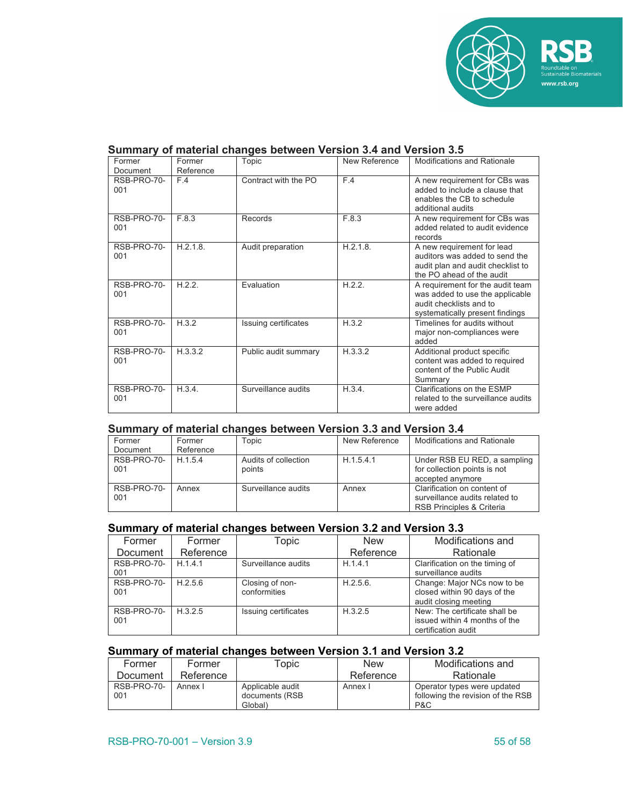

| Former<br>Document | Former<br>Reference | Topic                | New Reference | <b>Modifications and Rationale</b>                                                                                                |
|--------------------|---------------------|----------------------|---------------|-----------------------------------------------------------------------------------------------------------------------------------|
| RSB-PRO-70-<br>001 | F.4                 | Contract with the PO | F.4           | A new requirement for CBs was<br>added to include a clause that<br>enables the CB to schedule<br>additional audits                |
| RSB-PRO-70-<br>001 | F.8.3               | Records              | F.8.3         | A new requirement for CBs was<br>added related to audit evidence<br>records                                                       |
| RSB-PRO-70-<br>001 | H.2.1.8.            | Audit preparation    | H.2.1.8.      | A new requirement for lead<br>auditors was added to send the<br>audit plan and audit checklist to<br>the PO ahead of the audit    |
| RSB-PRO-70-<br>001 | H.2.2.              | Evaluation           | H.2.2.        | A requirement for the audit team<br>was added to use the applicable<br>audit checklists and to<br>systematically present findings |
| RSB-PRO-70-<br>001 | H.3.2               | Issuing certificates | H.3.2         | Timelines for audits without<br>major non-compliances were<br>added                                                               |
| RSB-PRO-70-<br>001 | H.3.3.2             | Public audit summary | H.3.3.2       | Additional product specific<br>content was added to required<br>content of the Public Audit<br>Summarv                            |
| RSB-PRO-70-<br>001 | H.3.4.              | Surveillance audits  | H.3.4.        | Clarifications on the ESMP<br>related to the surveillance audits<br>were added                                                    |

#### **Summary of material changes between Version 3.4 and Version 3.5**

#### **Summary of material changes between Version 3.3 and Version 3.4**

| Former<br>Document | Former<br>Reference | Topic                          | New Reference | Modifications and Rationale                                                                |
|--------------------|---------------------|--------------------------------|---------------|--------------------------------------------------------------------------------------------|
| RSB-PRO-70-<br>001 | H 1.5.4             | Audits of collection<br>points | H.1.5.4.1     | Under RSB EU RED, a sampling<br>for collection points is not<br>accepted anymore           |
| RSB-PRO-70-<br>001 | Annex               | Surveillance audits            | Annex         | Clarification on content of<br>surveillance audits related to<br>RSB Principles & Criteria |

#### **Summary of material changes between Version 3.2 and Version 3.3**

| Former             | Former    | Topic                           | <b>New</b> | Modifications and                                                                     |
|--------------------|-----------|---------------------------------|------------|---------------------------------------------------------------------------------------|
| Document           | Reference |                                 | Reference  | Rationale                                                                             |
| RSB-PRO-70-<br>001 | H.1.4.1   | Surveillance audits             | H.1.4.1    | Clarification on the timing of<br>surveillance audits                                 |
| RSB-PRO-70-<br>001 | H.2.5.6   | Closing of non-<br>conformities | H.2.5.6.   | Change: Major NCs now to be<br>closed within 90 days of the<br>audit closing meeting  |
| RSB-PRO-70-<br>001 | H.3.2.5   | Issuing certificates            | H.3.2.5    | New: The certificate shall be<br>issued within 4 months of the<br>certification audit |

### **Summary of material changes between Version 3.1 and Version 3.2**

| Former             | Former    | Topic                                         | New       | Modifications and                                                       |
|--------------------|-----------|-----------------------------------------------|-----------|-------------------------------------------------------------------------|
| Document           | Reference |                                               | Reference | Rationale                                                               |
| RSB-PRO-70-<br>001 | Annex I   | Applicable audit<br>documents (RSB<br>Global) | Annex I   | Operator types were updated<br>following the revision of the RSB<br>P&C |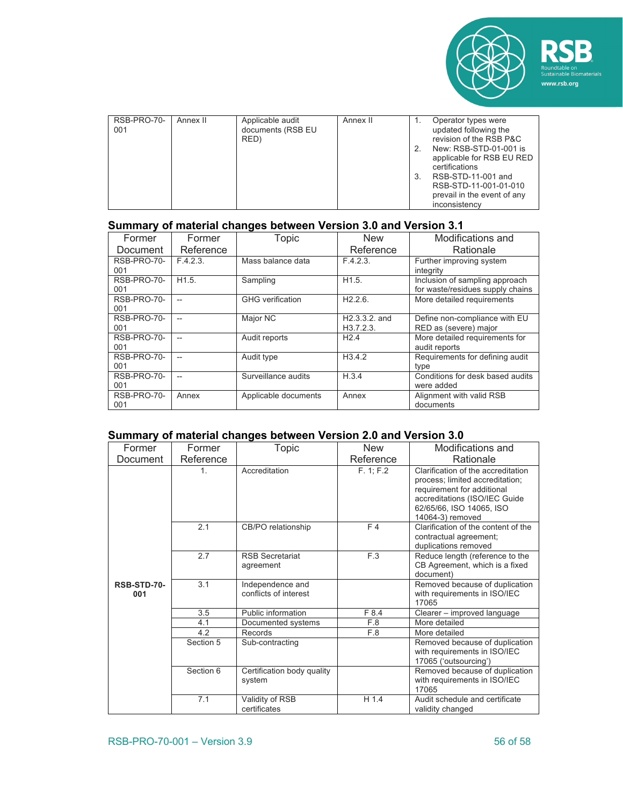

| 3 | RSB-PRO-70-<br>001 | Annex II | Applicable audit<br>documents (RSB EU<br>RED) | Annex II |  | Operator types were<br>updated following the<br>revision of the RSB P&C<br>New: RSB-STD-01-001 is<br>applicable for RSB EU RED<br>certifications<br>RSB-STD-11-001 and<br>RSB-STD-11-001-01-010<br>prevail in the event of any<br>inconsistency |
|---|--------------------|----------|-----------------------------------------------|----------|--|-------------------------------------------------------------------------------------------------------------------------------------------------------------------------------------------------------------------------------------------------|
|---|--------------------|----------|-----------------------------------------------|----------|--|-------------------------------------------------------------------------------------------------------------------------------------------------------------------------------------------------------------------------------------------------|

### **Summary of material changes between Version 3.0 and Version 3.1**

| Former<br><b>Document</b> | Former<br>Reference      | Topic                   | <b>New</b><br>Reference      | Modifications and<br>Rationale                                     |
|---------------------------|--------------------------|-------------------------|------------------------------|--------------------------------------------------------------------|
| RSB-PRO-70-<br>001        | F.4.2.3.                 | Mass balance data       | F.4.2.3.                     | Further improving system<br>integrity                              |
| RSB-PRO-70-<br>001        | H1.5.                    | Sampling                | H <sub>1.5</sub> .           | Inclusion of sampling approach<br>for waste/residues supply chains |
| RSB-PRO-70-<br>001        |                          | <b>GHG</b> verification | H2.2.6                       | More detailed requirements                                         |
| RSB-PRO-70-<br>001        | $\overline{\phantom{a}}$ | Major NC                | $H2.3.3.2.$ and<br>H3.7.2.3. | Define non-compliance with EU<br>RED as (severe) major             |
| RSB-PRO-70-<br>001        |                          | Audit reports           | H2.4                         | More detailed requirements for<br>audit reports                    |
| RSB-PRO-70-<br>001        | $\overline{\phantom{a}}$ | Audit type              | H3.4.2                       | Requirements for defining audit<br>type                            |
| RSB-PRO-70-<br>001        |                          | Surveillance audits     | H.3.4                        | Conditions for desk based audits<br>were added                     |
| RSB-PRO-70-<br>001        | Annex                    | Applicable documents    | Annex                        | Alignment with valid RSB<br>documents                              |

#### **Summary of material changes between Version 2.0 and Version 3.0**

| Former             | Former    | Topic                                     | <b>New</b> | Modifications and                                                                                                                                                                    |
|--------------------|-----------|-------------------------------------------|------------|--------------------------------------------------------------------------------------------------------------------------------------------------------------------------------------|
| Document           | Reference |                                           | Reference  | Rationale                                                                                                                                                                            |
|                    | 1.        | Accreditation                             | F. 1; F.2  | Clarification of the accreditation<br>process; limited accreditation;<br>requirement for additional<br>accreditations (ISO/IEC Guide<br>62/65/66, ISO 14065, ISO<br>14064-3) removed |
|                    | 2.1       | CB/PO relationship                        | F4         | Clarification of the content of the<br>contractual agreement;<br>duplications removed                                                                                                |
|                    | 2.7       | <b>RSB Secretariat</b><br>agreement       | F.3        | Reduce length (reference to the<br>CB Agreement, which is a fixed<br>document)                                                                                                       |
| RSB-STD-70-<br>001 | 3.1       | Independence and<br>conflicts of interest |            | Removed because of duplication<br>with requirements in ISO/IEC<br>17065                                                                                                              |
|                    | 3.5       | Public information                        | F 8.4      | Clearer - improved language                                                                                                                                                          |
|                    | 4.1       | Documented systems                        | F.8        | More detailed                                                                                                                                                                        |
|                    | 4.2       | Records                                   | F.8        | More detailed                                                                                                                                                                        |
|                    | Section 5 | Sub-contracting                           |            | Removed because of duplication<br>with requirements in ISO/IEC<br>17065 ('outsourcing')                                                                                              |
|                    | Section 6 | Certification body quality<br>system      |            | Removed because of duplication<br>with requirements in ISO/IEC<br>17065                                                                                                              |
|                    | 7.1       | Validity of RSB<br>certificates           | H 1.4      | Audit schedule and certificate<br>validity changed                                                                                                                                   |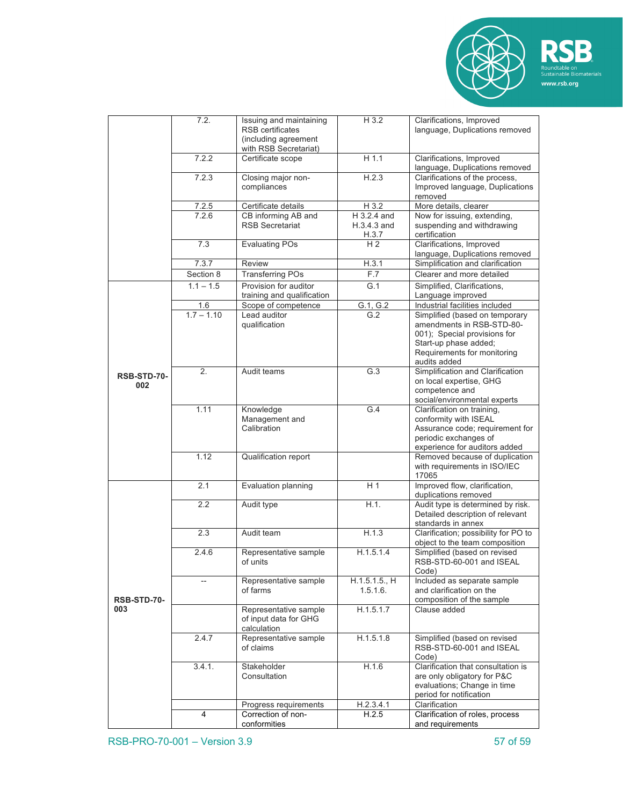



|                    | 7.2.              | Issuing and maintaining<br><b>RSB</b> certificates<br>(including agreement<br>with RSB Secretariat) | H 3.2                               | Clarifications, Improved<br>language, Duplications removed                                                                                                          |
|--------------------|-------------------|-----------------------------------------------------------------------------------------------------|-------------------------------------|---------------------------------------------------------------------------------------------------------------------------------------------------------------------|
|                    | 7.2.2             | Certificate scope                                                                                   | $H$ 1.1                             | Clarifications, Improved<br>language, Duplications removed                                                                                                          |
|                    | 7.2.3             | Closing major non-<br>compliances                                                                   | H.2.3                               | Clarifications of the process,<br>Improved language, Duplications<br>removed                                                                                        |
|                    | 7.2.5             | Certificate details                                                                                 | H 3.2                               | More details, clearer                                                                                                                                               |
|                    | 7.2.6             | CB informing AB and<br><b>RSB Secretariat</b>                                                       | H 3.2.4 and<br>H.3.4.3 and<br>H.3.7 | Now for issuing, extending,<br>suspending and withdrawing<br>certification                                                                                          |
|                    | 7.3               | <b>Evaluating POs</b>                                                                               | H <sub>2</sub>                      | Clarifications, Improved<br>language, Duplications removed                                                                                                          |
|                    | 7.3.7             | Review                                                                                              | H.3.1                               | Simplification and clarification                                                                                                                                    |
|                    | Section 8         | <b>Transferring POs</b>                                                                             | F.7                                 | Clearer and more detailed                                                                                                                                           |
|                    | $1.1 - 1.5$       | Provision for auditor<br>training and qualification                                                 | G.1                                 | Simplified, Clarifications,<br>Language improved                                                                                                                    |
|                    | 1.6               | Scope of competence                                                                                 | G.1, G.2                            | Industrial facilities included                                                                                                                                      |
|                    | $1.7 - 1.10$      | Lead auditor<br>qualification                                                                       | G.2                                 | Simplified (based on temporary<br>amendments in RSB-STD-80-<br>001); Special provisions for<br>Start-up phase added;<br>Requirements for monitoring<br>audits added |
| RSB-STD-70-<br>002 | 2.                | Audit teams                                                                                         | G.3                                 | Simplification and Clarification<br>on local expertise, GHG<br>competence and<br>social/environmental experts                                                       |
|                    | 1.11              | Knowledge<br>Management and<br>Calibration                                                          | G.4                                 | Clarification on training,<br>conformity with ISEAL<br>Assurance code; requirement for<br>periodic exchanges of<br>experience for auditors added                    |
|                    | 1.12              | Qualification report                                                                                |                                     | Removed because of duplication<br>with requirements in ISO/IEC<br>17065                                                                                             |
|                    | 2.1               | Evaluation planning                                                                                 | H <sub>1</sub>                      | Improved flow, clarification,<br>duplications removed                                                                                                               |
|                    | 2.2               | Audit type                                                                                          | H.1.                                | Audit type is determined by risk.<br>Detailed description of relevant<br>standards in annex                                                                         |
|                    | 2.3               | Audit team                                                                                          | H.1.3                               | Clarification; possibility for PO to<br>object to the team composition                                                                                              |
|                    | 2.4.6             | Representative sample<br>of units                                                                   | H.1.5.1.4                           | Simplified (based on revised<br>RSB-STD-60-001 and ISEAL<br>Code)                                                                                                   |
| RSB-STD-70-        | $\qquad \qquad -$ | Representative sample<br>of farms                                                                   | H.1.5.1.5., H<br>1.5.1.6.           | Included as separate sample<br>and clarification on the<br>composition of the sample                                                                                |
| 003                |                   | Representative sample<br>of input data for GHG<br>calculation                                       | H.1.5.1.7                           | Clause added                                                                                                                                                        |
|                    | 2.4.7             | Representative sample<br>of claims                                                                  | H.1.5.1.8                           | Simplified (based on revised<br>RSB-STD-60-001 and ISEAL<br>Code)                                                                                                   |
|                    | 3.4.1.            | Stakeholder<br>Consultation                                                                         | H.1.6                               | Clarification that consultation is<br>are only obligatory for P&C<br>evaluations; Change in time<br>period for notification                                         |
|                    |                   | Progress requirements                                                                               | H.2.3.4.1                           | Clarification                                                                                                                                                       |
|                    | 4                 | Correction of non-<br>conformities                                                                  | H.2.5                               | Clarification of roles, process<br>and requirements                                                                                                                 |